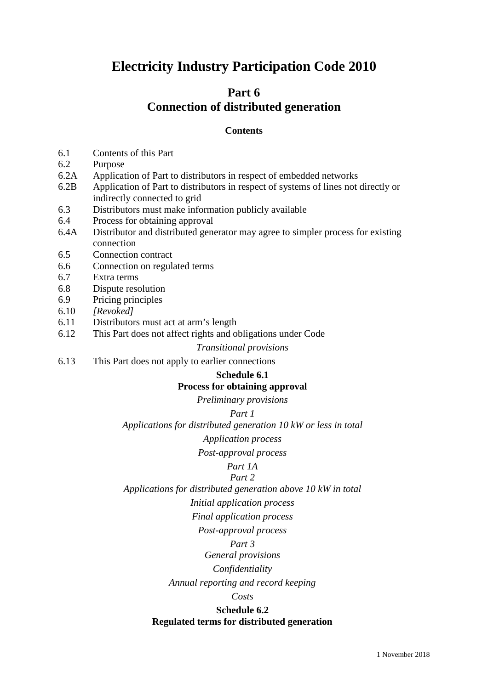# **Electricity Industry Participation Code 2010**

# **Part 6 Connection of distributed generation**

## **Contents**

- 6.1 Contents of this Part
- 6.2 Purpose
- 6.2A Application of Part to distributors in respect of embedded networks
- 6.2B Application of Part to distributors in respect of systems of lines not directly or indirectly connected to grid
- 6.3 Distributors must make information publicly available
- 6.4 Process for obtaining approval
- 6.4A Distributor and distributed generator may agree to simpler process for existing connection
- 6.5 Connection contract
- 6.6 Connection on regulated terms
- 6.7 Extra terms
- 6.8 Dispute resolution
- 6.9 Pricing principles
- 6.10 *[Revoked]*
- 6.11 Distributors must act at arm's length
- 6.12 This Part does not affect rights and obligations under Code

## *Transitional provisions*

6.13 This Part does not apply to earlier connections

# **Schedule 6.1**

## **Process for obtaining approval**

*Preliminary provisions*

## *Part 1*

*Applications for distributed generation 10 kW or less in total*

*Application process*

*Post-approval process*

## *Part 1A*

*Part 2*

*Applications for distributed generation above 10 kW in total*

*Initial application process*

*Final application process*

*Post-approval process*

# *Part 3*

*General provisions*

## *Confidentiality*

*Annual reporting and record keeping*

## *Costs*

## **Schedule 6.2 Regulated terms for distributed generation**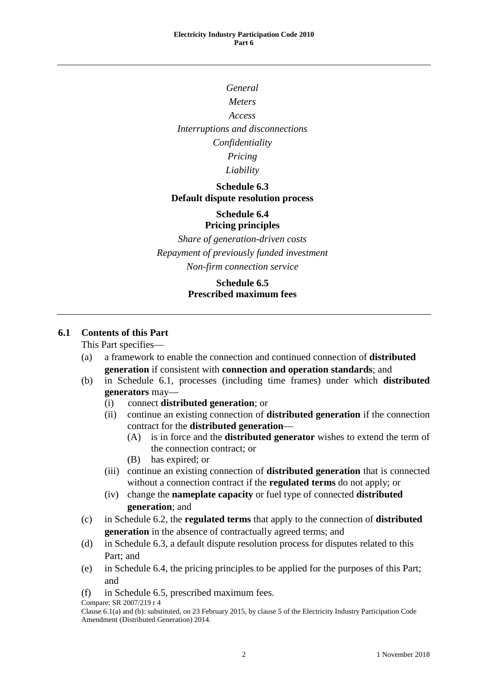# *General Meters Access Interruptions and disconnections Confidentiality Pricing Liability*

#### **Schedule 6.3 Default dispute resolution process**

## **Schedule 6.4 Pricing principles**

*Share of generation-driven costs Repayment of previously funded investment Non-firm connection service*

# **Schedule 6.5 Prescribed maximum fees**

# **6.1 Contents of this Part**

This Part specifies—

- (a) a framework to enable the connection and continued connection of **distributed generation** if consistent with **connection and operation standards**; and
- (b) in Schedule 6.1, processes (including time frames) under which **distributed generators** may—
	- (i) connect **distributed generation**; or
	- (ii) continue an existing connection of **distributed generation** if the connection contract for the **distributed generation**—
		- (A) is in force and the **distributed generator** wishes to extend the term of the connection contract; or
		- (B) has expired; or
	- (iii) continue an existing connection of **distributed generation** that is connected without a connection contract if the **regulated terms** do not apply; or
	- (iv) change the **nameplate capacity** or fuel type of connected **distributed generation**; and
- (c) in Schedule 6.2, the **regulated terms** that apply to the connection of **distributed generation** in the absence of contractually agreed terms; and
- (d) in Schedule 6.3, a default dispute resolution process for disputes related to this Part; and
- (e) in Schedule 6.4, the pricing principles to be applied for the purposes of this Part; and

<sup>(</sup>f) in Schedule 6.5, prescribed maximum fees.

Compare: SR 2007/219 r 4

Clause 6.1(a) and (b): substituted, on 23 February 2015, by clause 5 of the Electricity Industry Participation Code Amendment (Distributed Generation) 2014.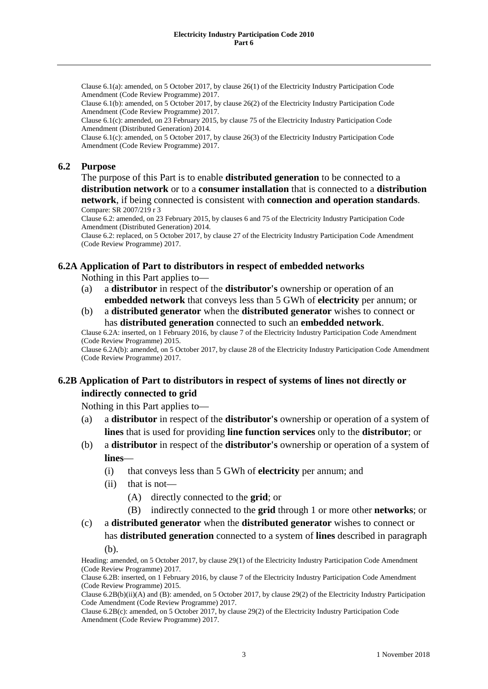Clause 6.1(a): amended, on 5 October 2017, by clause 26(1) of the Electricity Industry Participation Code Amendment (Code Review Programme) 2017.

Clause 6.1(b): amended, on 5 October 2017, by clause 26(2) of the Electricity Industry Participation Code Amendment (Code Review Programme) 2017.

Clause 6.1(c): amended, on 23 February 2015, by clause 75 of the Electricity Industry Participation Code Amendment (Distributed Generation) 2014.

Clause 6.1(c): amended, on 5 October 2017, by clause 26(3) of the Electricity Industry Participation Code Amendment (Code Review Programme) 2017.

## **6.2 Purpose**

The purpose of this Part is to enable **distributed generation** to be connected to a **distribution network** or to a **consumer installation** that is connected to a **distribution network**, if being connected is consistent with **connection and operation standards**. Compare: SR 2007/219 r 3

Clause 6.2: amended, on 23 February 2015, by clauses 6 and 75 of the Electricity Industry Participation Code Amendment (Distributed Generation) 2014.

Clause 6.2: replaced, on 5 October 2017, by clause 27 of the Electricity Industry Participation Code Amendment (Code Review Programme) 2017.

#### **6.2A Application of Part to distributors in respect of embedded networks**

Nothing in this Part applies to—

- (a) a **distributor** in respect of the **distributor's** ownership or operation of an **embedded network** that conveys less than 5 GWh of **electricity** per annum; or
- (b) a **distributed generator** when the **distributed generator** wishes to connect or has **distributed generation** connected to such an **embedded network**.

Clause 6.2A: inserted, on 1 February 2016, by clause 7 of the Electricity Industry Participation Code Amendment (Code Review Programme) 2015.

Clause 6.2A(b): amended, on 5 October 2017, by clause 28 of the Electricity Industry Participation Code Amendment (Code Review Programme) 2017.

# **6.2B Application of Part to distributors in respect of systems of lines not directly or indirectly connected to grid**

Nothing in this Part applies to—

- (a) a **distributor** in respect of the **distributor's** ownership or operation of a system of **lines** that is used for providing **line function services** only to the **distributor**; or
- (b) a **distributor** in respect of the **distributor's** ownership or operation of a system of **lines**—
	- (i) that conveys less than 5 GWh of **electricity** per annum; and
	- (ii) that is not—
		- (A) directly connected to the **grid**; or
		- (B) indirectly connected to the **grid** through 1 or more other **networks**; or
- (c) a **distributed generator** when the **distributed generator** wishes to connect or has **distributed generation** connected to a system of **lines** described in paragraph (b).

Heading: amended, on 5 October 2017, by clause 29(1) of the Electricity Industry Participation Code Amendment (Code Review Programme) 2017.

Clause 6.2B: inserted, on 1 February 2016, by clause 7 of the Electricity Industry Participation Code Amendment (Code Review Programme) 2015.

Clause 6.2B(b)(ii)(A) and (B): amended, on 5 October 2017, by clause 29(2) of the Electricity Industry Participation Code Amendment (Code Review Programme) 2017.

Clause 6.2B(c): amended, on 5 October 2017, by clause 29(2) of the Electricity Industry Participation Code Amendment (Code Review Programme) 2017.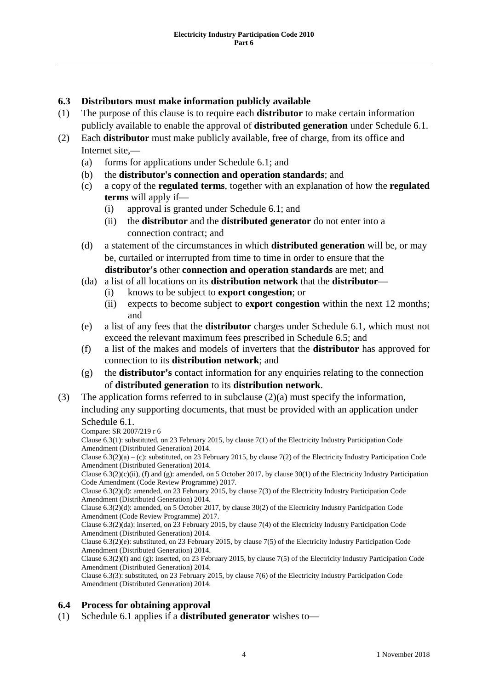## **6.3 Distributors must make information publicly available**

- (1) The purpose of this clause is to require each **distributor** to make certain information publicly available to enable the approval of **distributed generation** under Schedule 6.1.
- (2) Each **distributor** must make publicly available, free of charge, from its office and Internet site,—
	- (a) forms for applications under Schedule 6.1; and
	- (b) the **distributor's connection and operation standards**; and
	- (c) a copy of the **regulated terms**, together with an explanation of how the **regulated terms** will apply if—
		- (i) approval is granted under Schedule 6.1; and
		- (ii) the **distributor** and the **distributed generator** do not enter into a connection contract; and
	- (d) a statement of the circumstances in which **distributed generation** will be, or may be, curtailed or interrupted from time to time in order to ensure that the **distributor's** other **connection and operation standards** are met; and
	- (da) a list of all locations on its **distribution network** that the **distributor**
		- (i) knows to be subject to **export congestion**; or
		- (ii) expects to become subject to **export congestion** within the next 12 months; and
	- (e) a list of any fees that the **distributor** charges under Schedule 6.1, which must not exceed the relevant maximum fees prescribed in Schedule 6.5; and
	- (f) a list of the makes and models of inverters that the **distributor** has approved for connection to its **distribution network**; and
	- (g) the **distributor's** contact information for any enquiries relating to the connection of **distributed generation** to its **distribution network**.
- (3) The application forms referred to in subclause  $(2)(a)$  must specify the information, including any supporting documents, that must be provided with an application under Schedule 6.1.
	- Compare: SR 2007/219 r 6

Clause 6.3(1): substituted, on 23 February 2015, by clause 7(1) of the Electricity Industry Participation Code Amendment (Distributed Generation) 2014.

Clause  $6.3(2)(a) - (c)$ : substituted, on 23 February 2015, by clause 7(2) of the Electricity Industry Participation Code Amendment (Distributed Generation) 2014.

Clause  $6.3(2)(c)(ii)$ , (f) and (g): amended, on 5 October 2017, by clause 30(1) of the Electricity Industry Participation Code Amendment (Code Review Programme) 2017.

Clause 6.3(2)(d): amended, on 23 February 2015, by clause 7(3) of the Electricity Industry Participation Code Amendment (Distributed Generation) 2014.

Clause 6.3(2)(d): amended, on 5 October 2017, by clause 30(2) of the Electricity Industry Participation Code Amendment (Code Review Programme) 2017.

Clause 6.3(2)(da): inserted, on 23 February 2015, by clause 7(4) of the Electricity Industry Participation Code Amendment (Distributed Generation) 2014.

Clause 6.3(2)(e): substituted, on 23 February 2015, by clause 7(5) of the Electricity Industry Participation Code Amendment (Distributed Generation) 2014.

Clause 6.3(2)(f) and (g): inserted, on 23 February 2015, by clause 7(5) of the Electricity Industry Participation Code Amendment (Distributed Generation) 2014.

Clause 6.3(3): substituted, on 23 February 2015, by clause 7(6) of the Electricity Industry Participation Code Amendment (Distributed Generation) 2014.

# **6.4 Process for obtaining approval**

(1) Schedule 6.1 applies if a **distributed generator** wishes to—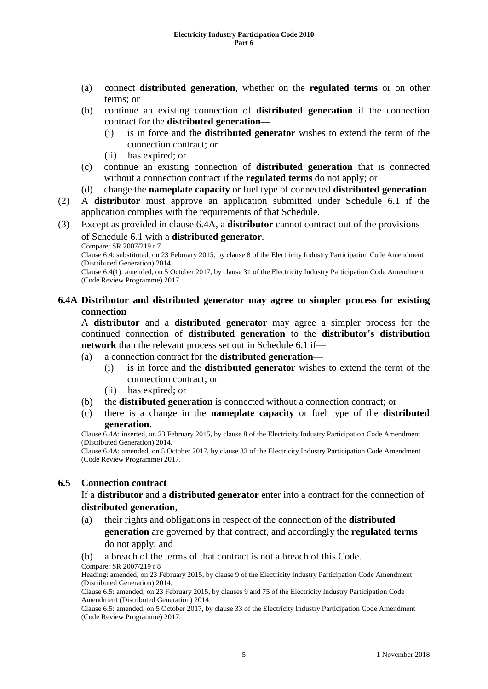- (a) connect **distributed generation**, whether on the **regulated terms** or on other terms; or
- (b) continue an existing connection of **distributed generation** if the connection contract for the **distributed generation—**
	- (i) is in force and the **distributed generator** wishes to extend the term of the connection contract; or
	- (ii) has expired; or
- (c) continue an existing connection of **distributed generation** that is connected without a connection contract if the **regulated terms** do not apply; or
- (d) change the **nameplate capacity** or fuel type of connected **distributed generation**.
- (2) A **distributor** must approve an application submitted under Schedule 6.1 if the application complies with the requirements of that Schedule.
- (3) Except as provided in clause 6.4A, a **distributor** cannot contract out of the provisions of Schedule 6.1 with a **distributed generator**.

Compare: SR 2007/219 r 7

Clause 6.4: substituted, on 23 February 2015, by clause 8 of the Electricity Industry Participation Code Amendment (Distributed Generation) 2014.

Clause 6.4(1): amended, on 5 October 2017, by clause 31 of the Electricity Industry Participation Code Amendment (Code Review Programme) 2017.

## **6.4A Distributor and distributed generator may agree to simpler process for existing connection**

A **distributor** and a **distributed generator** may agree a simpler process for the continued connection of **distributed generation** to the **distributor's distribution network** than the relevant process set out in Schedule 6.1 if—

- (a) a connection contract for the **distributed generation**
	- (i) is in force and the **distributed generator** wishes to extend the term of the connection contract; or
	- (ii) has expired; or
- (b) the **distributed generation** is connected without a connection contract; or
- (c) there is a change in the **nameplate capacity** or fuel type of the **distributed generation**.

Clause 6.4A: inserted, on 23 February 2015, by clause 8 of the Electricity Industry Participation Code Amendment (Distributed Generation) 2014.

Clause 6.4A: amended, on 5 October 2017, by clause 32 of the Electricity Industry Participation Code Amendment (Code Review Programme) 2017.

## **6.5 Connection contract**

If a **distributor** and a **distributed generator** enter into a contract for the connection of **distributed generation**,—

(a) their rights and obligations in respect of the connection of the **distributed generation** are governed by that contract, and accordingly the **regulated terms** do not apply; and

(b) a breach of the terms of that contract is not a breach of this Code. Compare: SR 2007/219 r 8

Heading: amended, on 23 February 2015, by clause 9 of the Electricity Industry Participation Code Amendment (Distributed Generation) 2014.

Clause 6.5: amended, on 23 February 2015, by clauses 9 and 75 of the Electricity Industry Participation Code Amendment (Distributed Generation) 2014.

Clause 6.5: amended, on 5 October 2017, by clause 33 of the Electricity Industry Participation Code Amendment (Code Review Programme) 2017.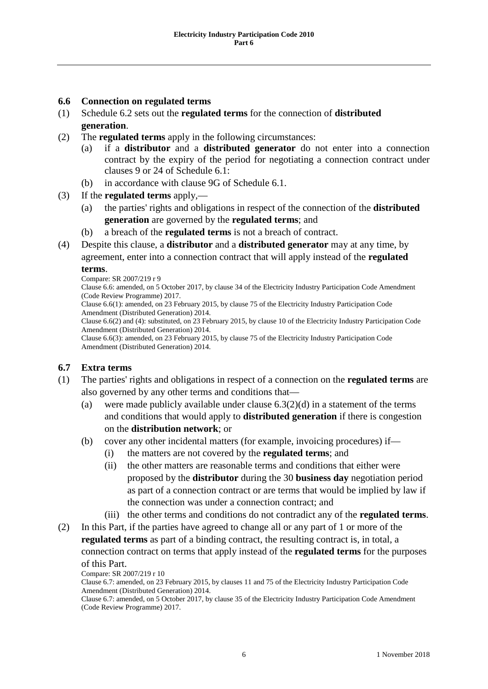#### **6.6 Connection on regulated terms**

- (1) Schedule 6.2 sets out the **regulated terms** for the connection of **distributed generation**.
- (2) The **regulated terms** apply in the following circumstances:
	- (a) if a **distributor** and a **distributed generator** do not enter into a connection contract by the expiry of the period for negotiating a connection contract under clauses 9 or 24 of Schedule 6.1:
	- (b) in accordance with clause 9G of Schedule 6.1.
- (3) If the **regulated terms** apply,—
	- (a) the parties' rights and obligations in respect of the connection of the **distributed generation** are governed by the **regulated terms**; and
	- (b) a breach of the **regulated terms** is not a breach of contract.
- (4) Despite this clause, a **distributor** and a **distributed generator** may at any time, by agreement, enter into a connection contract that will apply instead of the **regulated**

#### **terms**.

Compare: SR 2007/219 r 9 Clause 6.6: amended, on 5 October 2017, by clause 34 of the Electricity Industry Participation Code Amendment

(Code Review Programme) 2017.

Clause 6.6(1): amended, on 23 February 2015, by clause 75 of the Electricity Industry Participation Code Amendment (Distributed Generation) 2014.

Clause 6.6(2) and (4): substituted, on 23 February 2015, by clause 10 of the Electricity Industry Participation Code Amendment (Distributed Generation) 2014.

Clause 6.6(3): amended, on 23 February 2015, by clause 75 of the Electricity Industry Participation Code Amendment (Distributed Generation) 2014.

## **6.7 Extra terms**

- (1) The parties' rights and obligations in respect of a connection on the **regulated terms** are also governed by any other terms and conditions that—
	- (a) were made publicly available under clause  $6.3(2)(d)$  in a statement of the terms and conditions that would apply to **distributed generation** if there is congestion on the **distribution network**; or
	- (b) cover any other incidental matters (for example, invoicing procedures) if—
		- (i) the matters are not covered by the **regulated terms**; and
		- (ii) the other matters are reasonable terms and conditions that either were proposed by the **distributor** during the 30 **business day** negotiation period as part of a connection contract or are terms that would be implied by law if the connection was under a connection contract; and
		- (iii) the other terms and conditions do not contradict any of the **regulated terms**.
- (2) In this Part, if the parties have agreed to change all or any part of 1 or more of the **regulated terms** as part of a binding contract, the resulting contract is, in total, a connection contract on terms that apply instead of the **regulated terms** for the purposes of this Part.

Compare: SR 2007/219 r 10

Clause 6.7: amended, on 23 February 2015, by clauses 11 and 75 of the Electricity Industry Participation Code Amendment (Distributed Generation) 2014.

Clause 6.7: amended, on 5 October 2017, by clause 35 of the Electricity Industry Participation Code Amendment (Code Review Programme) 2017.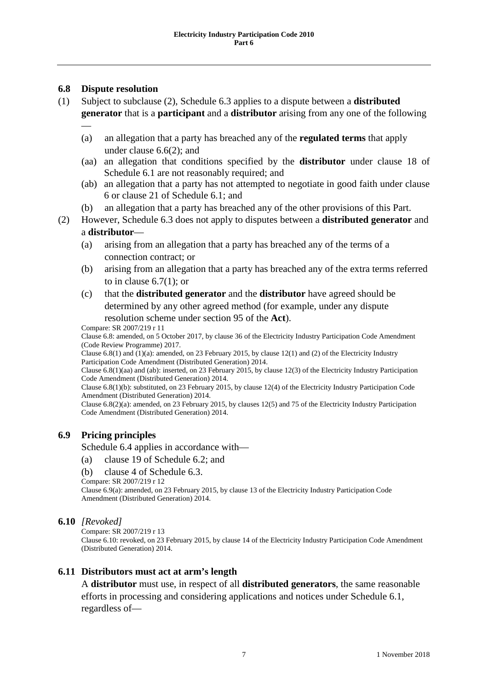## **6.8 Dispute resolution**

—

- (1) Subject to subclause (2), Schedule 6.3 applies to a dispute between a **distributed generator** that is a **participant** and a **distributor** arising from any one of the following
	- (a) an allegation that a party has breached any of the **regulated terms** that apply under clause 6.6(2); and
	- (aa) an allegation that conditions specified by the **distributor** under clause 18 of Schedule 6.1 are not reasonably required; and
	- (ab) an allegation that a party has not attempted to negotiate in good faith under clause 6 or clause 21 of Schedule 6.1; and
	- (b) an allegation that a party has breached any of the other provisions of this Part.
- (2) However, Schedule 6.3 does not apply to disputes between a **distributed generator** and a **distributor**—
	- (a) arising from an allegation that a party has breached any of the terms of a connection contract; or
	- (b) arising from an allegation that a party has breached any of the extra terms referred to in clause  $6.7(1)$ ; or
	- (c) that the **distributed generator** and the **distributor** have agreed should be determined by any other agreed method (for example, under any dispute resolution scheme under section 95 of the **Act**).

Compare: SR 2007/219 r 11

Clause 6.8: amended, on 5 October 2017, by clause 36 of the Electricity Industry Participation Code Amendment (Code Review Programme) 2017.

Clause 6.8(1) and (1)(a): amended, on 23 February 2015, by clause 12(1) and (2) of the Electricity Industry Participation Code Amendment (Distributed Generation) 2014.

Clause 6.8(1)(aa) and (ab): inserted, on 23 February 2015, by clause 12(3) of the Electricity Industry Participation Code Amendment (Distributed Generation) 2014.

Clause 6.8(1)(b): substituted, on 23 February 2015, by clause 12(4) of the Electricity Industry Participation Code Amendment (Distributed Generation) 2014.

Clause 6.8(2)(a): amended, on 23 February 2015, by clauses 12(5) and 75 of the Electricity Industry Participation Code Amendment (Distributed Generation) 2014.

# **6.9 Pricing principles**

Schedule 6.4 applies in accordance with—

- (a) clause 19 of Schedule 6.2; and
- (b) clause 4 of Schedule 6.3.
- Compare: SR 2007/219 r 12

Clause 6.9(a): amended, on 23 February 2015, by clause 13 of the Electricity Industry Participation Code Amendment (Distributed Generation) 2014.

#### **6.10** *[Revoked]*

Compare: SR 2007/219 r 13

Clause 6.10: revoked, on 23 February 2015, by clause 14 of the Electricity Industry Participation Code Amendment (Distributed Generation) 2014.

## **6.11 Distributors must act at arm's length**

A **distributor** must use, in respect of all **distributed generators**, the same reasonable efforts in processing and considering applications and notices under Schedule 6.1, regardless of—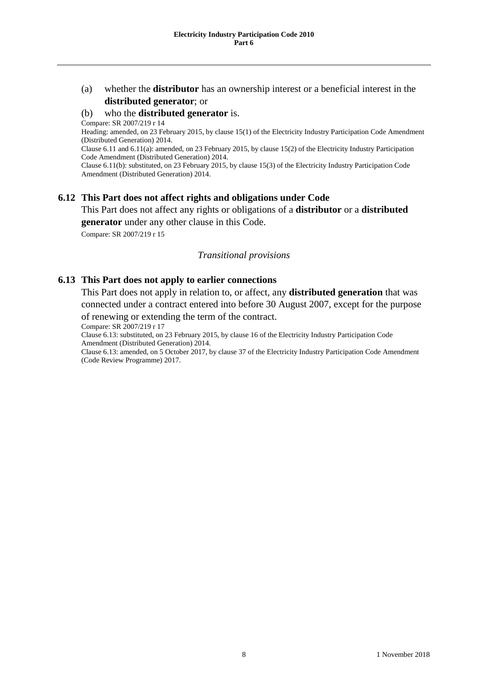## (a) whether the **distributor** has an ownership interest or a beneficial interest in the **distributed generator**; or

#### (b) who the **distributed generator** is.

Compare: SR 2007/219 r 14

Heading: amended, on 23 February 2015, by clause 15(1) of the Electricity Industry Participation Code Amendment (Distributed Generation) 2014.

Clause 6.11 and 6.11(a): amended, on 23 February 2015, by clause 15(2) of the Electricity Industry Participation Code Amendment (Distributed Generation) 2014.

Clause 6.11(b): substituted, on 23 February 2015, by clause 15(3) of the Electricity Industry Participation Code Amendment (Distributed Generation) 2014.

#### **6.12 This Part does not affect rights and obligations under Code**

This Part does not affect any rights or obligations of a **distributor** or a **distributed generator** under any other clause in this Code.

Compare: SR 2007/219 r 15

#### *Transitional provisions*

#### **6.13 This Part does not apply to earlier connections**

This Part does not apply in relation to, or affect, any **distributed generation** that was connected under a contract entered into before 30 August 2007, except for the purpose

of renewing or extending the term of the contract.

#### Compare: SR 2007/219 r 17

Clause 6.13: substituted, on 23 February 2015, by clause 16 of the Electricity Industry Participation Code Amendment (Distributed Generation) 2014.

Clause 6.13: amended, on 5 October 2017, by clause 37 of the Electricity Industry Participation Code Amendment (Code Review Programme) 2017.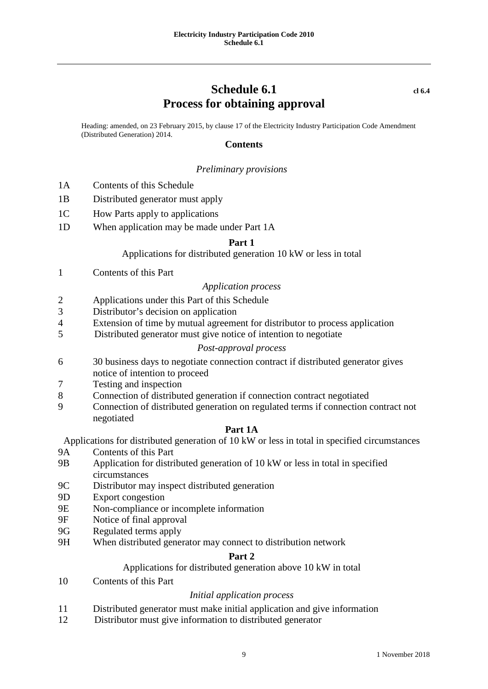# **Schedule 6.1 cl 6.4 Process for obtaining approval**

Heading: amended, on 23 February 2015, by clause 17 of the Electricity Industry Participation Code Amendment (Distributed Generation) 2014.

#### **Contents**

#### *Preliminary provisions*

- 1A Contents of this Schedule
- 1B Distributed generator must apply
- 1C How Parts apply to applications
- 1D When application may be made under Part 1A

#### **Part 1**

[Applications for distributed generation 10 kW or less in total](http://www.legislation.govt.nz/regulation/public/2007/0219/latest/whole.html#DLM1297904#DLM1297904)

1 Contents of this Part

#### *Application process*

- 2 Applications under this Part of this Schedule
- 3 Distributor's decision on application
- 4 Extension of time by mutual agreement for distributor to process application
- 5 Distributed generator must give notice of intention to negotiate

#### *Post-approval process*

- 6 30 business days to negotiate connection contract if distributed generator gives notice of intention to proceed
- 7 Testing and inspection
- 8 Connection of distributed generation if connection contract negotiated
- 9 Connection of distributed generation on regulated terms if connection contract not negotiated

#### **Part 1A**

Applications for distributed generation of 10 kW or less in total in specified circumstances

- 9A Contents of this Part
- 9B Application for distributed generation of 10 kW or less in total in specified circumstances
- 9C Distributor may inspect distributed generation
- 9D Export congestion
- 9E Non-compliance or incomplete information
- 9F Notice of final approval
- 9G Regulated terms apply
- 9H When distributed generator may connect to distribution network

#### **Part 2**

#### Applications for distributed generation above 10 kW in total

10 Contents of this Part

## *Initial application process*

- 11 Distributed generator must make initial application and give information
- 12 Distributor must give information to distributed generator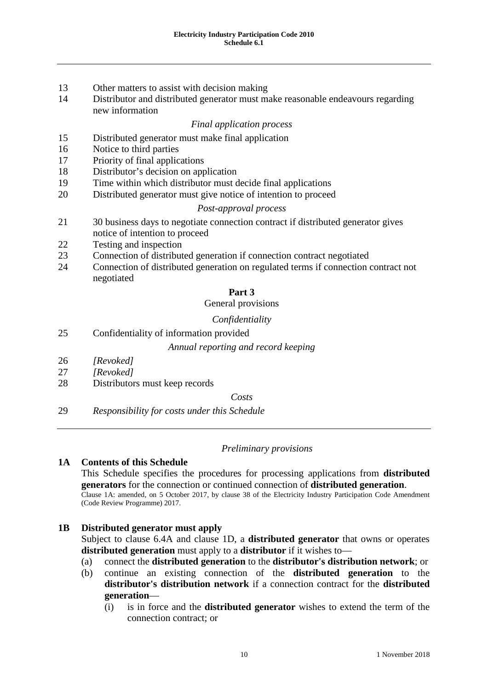- 13 Other matters to assist with decision making
- 14 Distributor and distributed generator must make reasonable endeavours regarding new information

#### *Final application process*

- 15 Distributed generator must make final application
- 16 Notice to third parties
- 17 Priority of final applications
- 18 Distributor's decision on application
- 19 Time within which distributor must decide final applications
- 20 Distributed generator must give notice of intention to proceed

#### *Post-approval process*

- 21 30 business days to negotiate connection contract if distributed generator gives notice of intention to proceed
- 22 Testing and inspection
- 23 Connection of distributed generation if connection contract negotiated
- 24 Connection of distributed generation on regulated terms if connection contract not negotiated

## **Part 3**

#### General provisions

#### *Confidentiality*

25 Confidentiality of information provided

#### *Annual reporting and record keeping*

- 26 *[Revoked]*
- 27 *[Revoked]*
- 28 Distributors must keep records

*Costs*

29 *Responsibility for costs under this Schedule*

#### *Preliminary provisions*

## **1A Contents of this Schedule**

This Schedule specifies the procedures for processing applications from **distributed generators** for the connection or continued connection of **distributed generation**. Clause 1A: amended, on 5 October 2017, by clause 38 of the Electricity Industry Participation Code Amendment (Code Review Programme) 2017.

## **1B Distributed generator must apply**

Subject to clause 6.4A and clause 1D, a **distributed generator** that owns or operates **distributed generation** must apply to a **distributor** if it wishes to—

- (a) connect the **distributed generation** to the **distributor's distribution network**; or
- (b) continue an existing connection of the **distributed generation** to the **distributor's distribution network** if a connection contract for the **distributed generation**—
	- (i) is in force and the **distributed generator** wishes to extend the term of the connection contract; or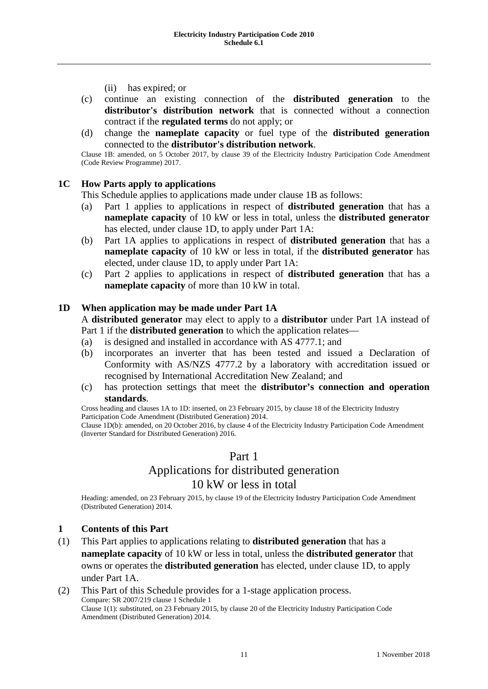- (ii) has expired; or
- (c) continue an existing connection of the **distributed generation** to the **distributor's distribution network** that is connected without a connection contract if the **regulated terms** do not apply; or
- (d) change the **nameplate capacity** or fuel type of the **distributed generation**  connected to the **distributor's distribution network**. Clause 1B: amended, on 5 October 2017, by clause 39 of the Electricity Industry Participation Code Amendment

(Code Review Programme) 2017.

## **1C How Parts apply to applications**

This Schedule applies to applications made under clause 1B as follows:

- (a) Part 1 applies to applications in respect of **distributed generation** that has a **nameplate capacity** of 10 kW or less in total, unless the **distributed generator**  has elected, under clause 1D, to apply under Part 1A:
- (b) Part 1A applies to applications in respect of **distributed generation** that has a **nameplate capacity** of 10 kW or less in total, if the **distributed generator** has elected, under clause 1D, to apply under Part 1A:
- (c) Part 2 applies to applications in respect of **distributed generation** that has a **nameplate capacity** of more than 10 kW in total.

#### **1D When application may be made under Part 1A**

A **distributed generator** may elect to apply to a **distributor** under Part 1A instead of Part 1 if the **distributed generation** to which the application relates—

- (a) is designed and installed in accordance with AS 4777.1; and
- (b) incorporates an inverter that has been tested and issued a Declaration of Conformity with AS/NZS 4777.2 by a laboratory with accreditation issued or recognised by International Accreditation New Zealand; and
- (c) has protection settings that meet the **distributor's connection and operation standards**.

Cross heading and clauses 1A to 1D: inserted, on 23 February 2015, by clause 18 of the Electricity Industry Participation Code Amendment (Distributed Generation) 2014.

Clause 1D(b): amended, on 20 October 2016, by clause 4 of the Electricity Industry Participation Code Amendment (Inverter Standard for Distributed Generation) 2016.

# Part 1

# Applications for distributed generation 10 kW or less in total

Heading: amended, on 23 February 2015, by clause 19 of the Electricity Industry Participation Code Amendment (Distributed Generation) 2014.

## **1 Contents of this Part**

(1) This Part applies to applications relating to **distributed generation** that has a **nameplate capacity** of 10 kW or less in total, unless the **distributed generator** that owns or operates the **distributed generation** has elected, under clause 1D, to apply under Part 1A.

(2) This Part of this Schedule provides for a 1-stage application process. Compare: SR 2007/219 clause 1 Schedule 1 Clause 1(1): substituted, on 23 February 2015, by clause 20 of the Electricity Industry Participation Code Amendment (Distributed Generation) 2014.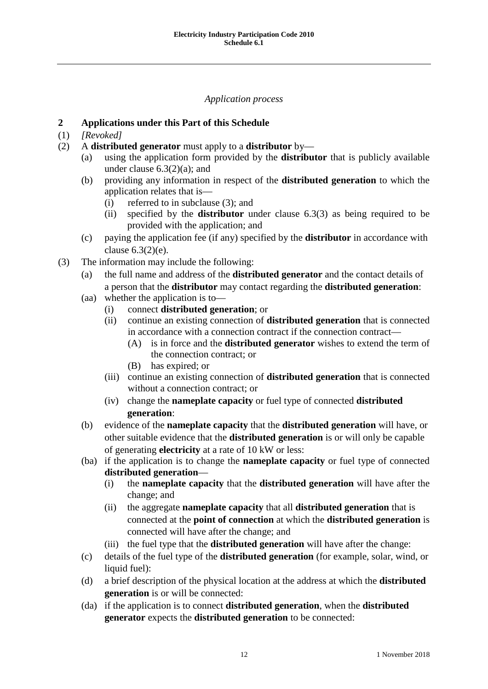## *Application process*

# **2 Applications under this Part of this Schedule**

- (1) *[Revoked]*
- (2) A **distributed generator** must apply to a **distributor** by—
	- (a) using the application form provided by the **distributor** that is publicly available under clause 6.3(2)(a); and
	- (b) providing any information in respect of the **distributed generation** to which the application relates that is—
		- (i) referred to in subclause (3); and
		- (ii) specified by the **distributor** under clause 6.3(3) as being required to be provided with the application; and
	- (c) paying the application fee (if any) specified by the **distributor** in accordance with clause 6.3(2)(e).
- (3) The information may include the following:
	- (a) the full name and address of the **distributed generator** and the contact details of a person that the **distributor** may contact regarding the **distributed generation**:
	- (aa) whether the application is to—
		- (i) connect **distributed generation**; or
		- (ii) continue an existing connection of **distributed generation** that is connected in accordance with a connection contract if the connection contract—
			- (A) is in force and the **distributed generator** wishes to extend the term of the connection contract; or
			- (B) has expired; or
		- (iii) continue an existing connection of **distributed generation** that is connected without a connection contract; or
		- (iv) change the **nameplate capacity** or fuel type of connected **distributed generation**:
	- (b) evidence of the **nameplate capacity** that the **distributed generation** will have, or other suitable evidence that the **distributed generation** is or will only be capable of generating **electricity** at a rate of 10 kW or less:
	- (ba) if the application is to change the **nameplate capacity** or fuel type of connected **distributed generation**—
		- (i) the **nameplate capacity** that the **distributed generation** will have after the change; and
		- (ii) the aggregate **nameplate capacity** that all **distributed generation** that is connected at the **point of connection** at which the **distributed generation** is connected will have after the change; and
		- (iii) the fuel type that the **distributed generation** will have after the change:
	- (c) details of the fuel type of the **distributed generation** (for example, solar, wind, or liquid fuel):
	- (d) a brief description of the physical location at the address at which the **distributed generation** is or will be connected:
	- (da) if the application is to connect **distributed generation**, when the **distributed generator** expects the **distributed generation** to be connected: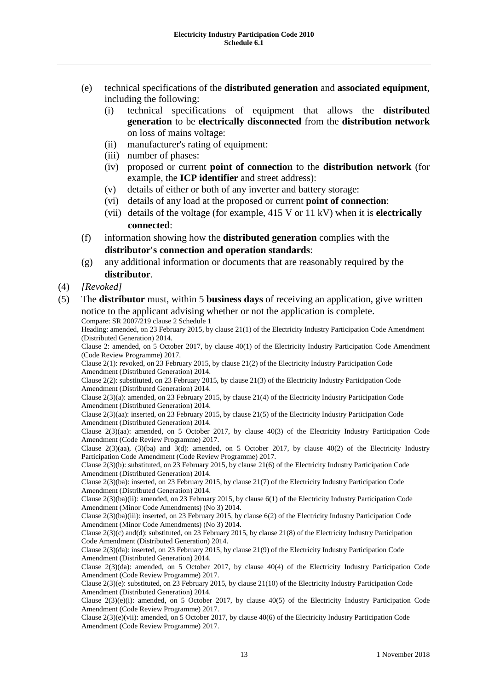- (e) technical specifications of the **distributed generation** and **associated equipment**, including the following:
	- (i) technical specifications of equipment that allows the **distributed generation** to be **electrically disconnected** from the **distribution network** on loss of mains voltage:
	- (ii) manufacturer's rating of equipment:
	- (iii) number of phases:
	- (iv) proposed or current **point of connection** to the **distribution network** (for example, the **ICP identifier** and street address):
	- (v) details of either or both of any inverter and battery storage:
	- (vi) details of any load at the proposed or current **point of connection**:
	- (vii) details of the voltage (for example, 415 V or 11 kV) when it is **electrically connected**:
- (f) information showing how the **distributed generation** complies with the **distributor's connection and operation standards**:
- (g) any additional information or documents that are reasonably required by the **distributor**.
- (4) *[Revoked]*

(5) The **distributor** must, within 5 **business days** of receiving an application, give written notice to the applicant advising whether or not the application is complete. Compare: SR 2007/219 clause 2 Schedule 1

Heading: amended, on 23 February 2015, by clause 21(1) of the Electricity Industry Participation Code Amendment (Distributed Generation) 2014.

Clause 2: amended, on 5 October 2017, by clause 40(1) of the Electricity Industry Participation Code Amendment (Code Review Programme) 2017.

Clause 2(1): revoked, on 23 February 2015, by clause 21(2) of the Electricity Industry Participation Code Amendment (Distributed Generation) 2014.

Clause 2(2): substituted, on 23 February 2015, by clause 21(3) of the Electricity Industry Participation Code Amendment (Distributed Generation) 2014.

Clause 2(3)(a): amended, on 23 February 2015, by clause 21(4) of the Electricity Industry Participation Code Amendment (Distributed Generation) 2014.

Clause 2(3)(aa): inserted, on 23 February 2015, by clause 21(5) of the Electricity Industry Participation Code Amendment (Distributed Generation) 2014.

Clause 2(3)(aa): amended, on 5 October 2017, by clause 40(3) of the Electricity Industry Participation Code Amendment (Code Review Programme) 2017.

Clause  $2(3)(aa)$ ,  $(3)(ba)$  and  $3(d)$ : amended, on 5 October 2017, by clause  $40(2)$  of the Electricity Industry Participation Code Amendment (Code Review Programme) 2017.

Clause 2(3)(b): substituted, on 23 February 2015, by clause 21(6) of the Electricity Industry Participation Code Amendment (Distributed Generation) 2014.

Clause 2(3)(ba): inserted, on 23 February 2015, by clause 21(7) of the Electricity Industry Participation Code Amendment (Distributed Generation) 2014.

Clause 2(3)(ba)(ii): amended, on 23 February 2015, by clause 6(1) of the Electricity Industry Participation Code Amendment (Minor Code Amendments) (No 3) 2014.

Clause 2(3)(ba)(iii): inserted, on 23 February 2015, by clause 6(2) of the Electricity Industry Participation Code Amendment (Minor Code Amendments) (No 3) 2014.

Clause 2(3)(c) and(d): substituted, on 23 February 2015, by clause 21(8) of the Electricity Industry Participation Code Amendment (Distributed Generation) 2014.

Clause 2(3)(da): inserted, on 23 February 2015, by clause 21(9) of the Electricity Industry Participation Code Amendment (Distributed Generation) 2014.

Clause 2(3)(da): amended, on 5 October 2017, by clause 40(4) of the Electricity Industry Participation Code Amendment (Code Review Programme) 2017.

Clause 2(3)(e): substituted, on 23 February 2015, by clause 21(10) of the Electricity Industry Participation Code Amendment (Distributed Generation) 2014.

Clause 2(3)(e)(i): amended, on 5 October 2017, by clause 40(5) of the Electricity Industry Participation Code Amendment (Code Review Programme) 2017.

Clause 2(3)(e)(vii): amended, on 5 October 2017, by clause 40(6) of the Electricity Industry Participation Code Amendment (Code Review Programme) 2017.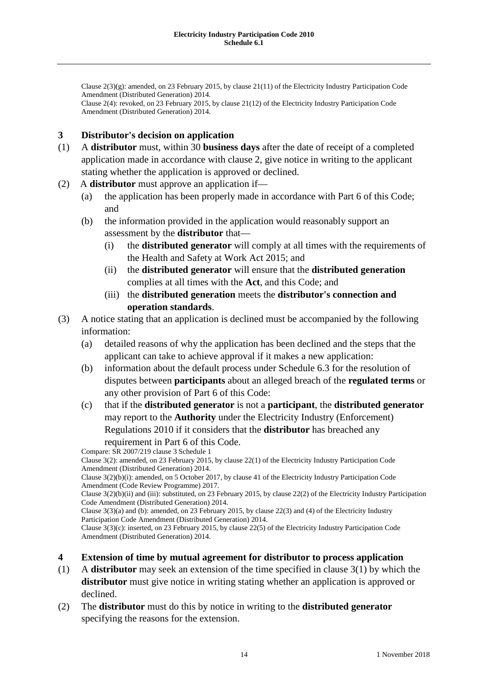Clause 2(3)(g): amended, on 23 February 2015, by clause 21(11) of the Electricity Industry Participation Code Amendment (Distributed Generation) 2014.

Clause 2(4): revoked, on 23 February 2015, by clause 21(12) of the Electricity Industry Participation Code Amendment (Distributed Generation) 2014.

## **3 Distributor's decision on application**

- (1) A **distributor** must, within 30 **business days** after the date of receipt of a completed application made in accordance with clause 2, give notice in writing to the applicant stating whether the application is approved or declined.
- (2) A **distributor** must approve an application if—
	- (a) the application has been properly made in accordance with Part 6 of this Code; and
	- (b) the information provided in the application would reasonably support an assessment by the **distributor** that—
		- (i) the **distributed generator** will comply at all times with the requirements of the Health and Safety at Work Act 2015; and
		- (ii) the **distributed generator** will ensure that the **distributed generation** complies at all times with the **Act**, and this Code; and
		- (iii) the **distributed generation** meets the **distributor's connection and operation standards**.
- (3) A notice stating that an application is declined must be accompanied by the following information:
	- (a) detailed reasons of why the application has been declined and the steps that the applicant can take to achieve approval if it makes a new application:
	- (b) information about the default process under Schedule 6.3 for the resolution of disputes between **participants** about an alleged breach of the **regulated terms** or any other provision of Part 6 of this Code:
	- (c) that if the **distributed generator** is not a **participant**, the **distributed generator**  may report to the **Authority** under the Electricity Industry (Enforcement) Regulations 2010 if it considers that the **distributor** has breached any requirement in Part 6 of this Code.

Compare: SR 2007/219 clause 3 Schedule 1

Clause 3(2): amended, on 23 February 2015, by clause 22(1) of the Electricity Industry Participation Code Amendment (Distributed Generation) 2014.

Clause 3(2)(b)(i): amended, on 5 October 2017, by clause 41 of the Electricity Industry Participation Code Amendment (Code Review Programme) 2017.

Clause 3(2)(b)(ii) and (iii): substituted, on 23 February 2015, by clause 22(2) of the Electricity Industry Participation Code Amendment (Distributed Generation) 2014.

Clause 3(3)(a) and (b): amended, on 23 February 2015, by clause 22(3) and (4) of the Electricity Industry Participation Code Amendment (Distributed Generation) 2014.

Clause 3(3)(c): inserted, on 23 February 2015, by clause 22(5) of the Electricity Industry Participation Code Amendment (Distributed Generation) 2014.

- **4 Extension of time by mutual agreement for distributor to process application**
- (1) A **distributor** may seek an extension of the time specified in clause 3(1) by which the **distributor** must give notice in writing stating whether an application is approved or declined.
- (2) The **distributor** must do this by notice in writing to the **distributed generator** specifying the reasons for the extension.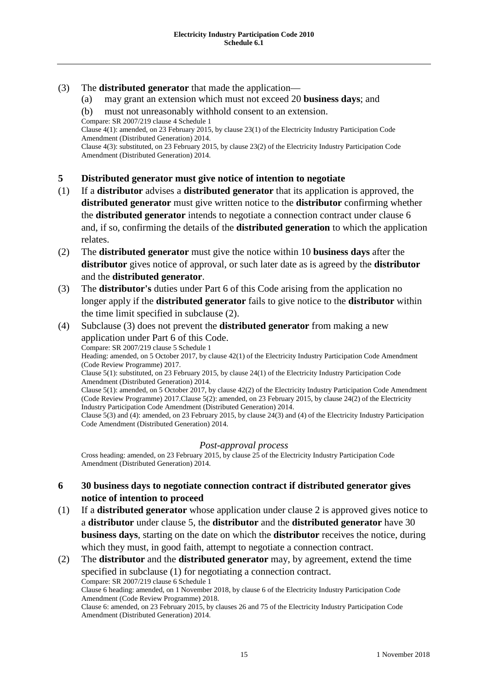- (3) The **distributed generator** that made the application—
	- (a) may grant an extension which must not exceed 20 **business days**; and
	- (b) must not unreasonably withhold consent to an extension. Compare: SR 2007/219 clause 4 Schedule 1

Clause 4(1): amended, on 23 February 2015, by clause 23(1) of the Electricity Industry Participation Code Amendment (Distributed Generation) 2014.

Clause 4(3): substituted, on 23 February 2015, by clause 23(2) of the Electricity Industry Participation Code Amendment (Distributed Generation) 2014.

## **5 Distributed generator must give notice of intention to negotiate**

- (1) If a **distributor** advises a **distributed generator** that its application is approved, the **distributed generator** must give written notice to the **distributor** confirming whether the **distributed generator** intends to negotiate a connection contract under clause 6 and, if so, confirming the details of the **distributed generation** to which the application relates.
- (2) The **distributed generator** must give the notice within 10 **business days** after the **distributor** gives notice of approval, or such later date as is agreed by the **distributor** and the **distributed generator**.
- (3) The **distributor's** duties under Part 6 of this Code arising from the application no longer apply if the **distributed generator** fails to give notice to the **distributor** within the time limit specified in subclause (2).
- (4) Subclause (3) does not prevent the **distributed generator** from making a new application under Part 6 of this Code. Compare: SR 2007/219 clause 5 Schedule 1 Heading: amended, on 5 October 2017, by clause 42(1) of the Electricity Industry Participation Code Amendment (Code Review Programme) 2017. Clause 5(1): substituted, on 23 February 2015, by clause 24(1) of the Electricity Industry Participation Code Amendment (Distributed Generation) 2014. Clause 5(1): amended, on 5 October 2017, by clause 42(2) of the Electricity Industry Participation Code Amendment (Code Review Programme) 2017.Clause 5(2): amended, on 23 February 2015, by clause 24(2) of the Electricity Industry Participation Code Amendment (Distributed Generation) 2014. Clause 5(3) and (4): amended, on 23 February 2015, by clause 24(3) and (4) of the Electricity Industry Participation Code Amendment (Distributed Generation) 2014.

#### *Post-approval process*

Cross heading: amended, on 23 February 2015, by clause 25 of the Electricity Industry Participation Code Amendment (Distributed Generation) 2014.

# **6 30 business days to negotiate connection contract if distributed generator gives notice of intention to proceed**

- (1) If a **distributed generator** whose application under clause 2 is approved gives notice to a **distributor** under clause 5, the **distributor** and the **distributed generator** have 30 **business days**, starting on the date on which the **distributor** receives the notice, during which they must, in good faith, attempt to negotiate a connection contract.
- (2) The **distributor** and the **distributed generator** may, by agreement, extend the time specified in subclause (1) for negotiating a connection contract. Compare: SR 2007/219 clause 6 Schedule 1 Clause 6 heading: amended, on 1 November 2018, by clause 6 of the Electricity Industry Participation Code Amendment (Code Review Programme) 2018. Clause 6: amended, on 23 February 2015, by clauses 26 and 75 of the Electricity Industry Participation Code Amendment (Distributed Generation) 2014.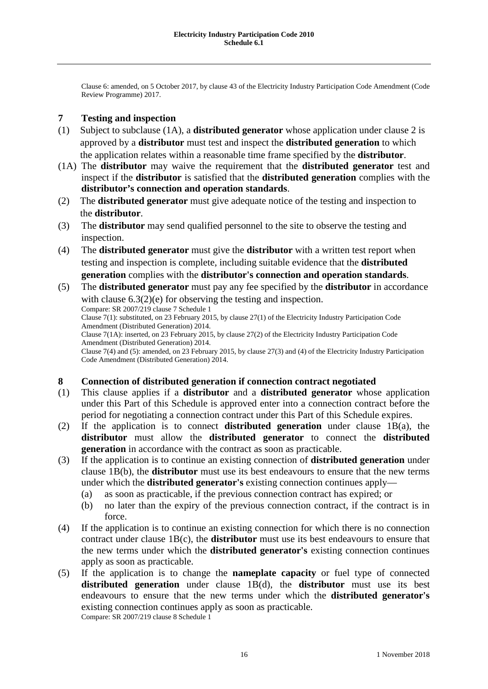Clause 6: amended, on 5 October 2017, by clause 43 of the Electricity Industry Participation Code Amendment (Code Review Programme) 2017.

## **7 Testing and inspection**

- (1) Subject to subclause (1A), a **distributed generator** whose application under clause 2 is approved by a **distributor** must test and inspect the **distributed generation** to which the application relates within a reasonable time frame specified by the **distributor**.
- (1A) The **distributor** may waive the requirement that the **distributed generator** test and inspect if the **distributor** is satisfied that the **distributed generation** complies with the **distributor's connection and operation standards**.
- (2) The **distributed generator** must give adequate notice of the testing and inspection to the **distributor**.
- (3) The **distributor** may send qualified personnel to the site to observe the testing and inspection.
- (4) The **distributed generator** must give the **distributor** with a written test report when testing and inspection is complete, including suitable evidence that the **distributed generation** complies with the **distributor's connection and operation standards**.
- (5) The **distributed generator** must pay any fee specified by the **distributor** in accordance with clause  $6.3(2)(e)$  for observing the testing and inspection. Compare: SR 2007/219 clause 7 Schedule 1 Clause 7(1): substituted, on 23 February 2015, by clause 27(1) of the Electricity Industry Participation Code Amendment (Distributed Generation) 2014. Clause 7(1A): inserted, on 23 February 2015, by clause 27(2) of the Electricity Industry Participation Code Amendment (Distributed Generation) 2014. Clause 7(4) and (5): amended, on 23 February 2015, by clause 27(3) and (4) of the Electricity Industry Participation Code Amendment (Distributed Generation) 2014.

# **8 Connection of distributed generation if connection contract negotiated**

- (1) This clause applies if a **distributor** and a **distributed generator** whose application under this Part of this Schedule is approved enter into a connection contract before the period for negotiating a connection contract under this Part of this Schedule expires.
- (2) If the application is to connect **distributed generation** under clause 1B(a), the **distributor** must allow the **distributed generator** to connect the **distributed generation** in accordance with the contract as soon as practicable.
- (3) If the application is to continue an existing connection of **distributed generation** under clause 1B(b), the **distributor** must use its best endeavours to ensure that the new terms under which the **distributed generator's** existing connection continues apply—
	- (a) as soon as practicable, if the previous connection contract has expired; or
	- (b) no later than the expiry of the previous connection contract, if the contract is in force.
- (4) If the application is to continue an existing connection for which there is no connection contract under clause 1B(c), the **distributor** must use its best endeavours to ensure that the new terms under which the **distributed generator's** existing connection continues apply as soon as practicable.
- (5) If the application is to change the **nameplate capacity** or fuel type of connected **distributed generation** under clause 1B(d), the **distributor** must use its best endeavours to ensure that the new terms under which the **distributed generator's**  existing connection continues apply as soon as practicable. Compare: SR 2007/219 clause 8 Schedule 1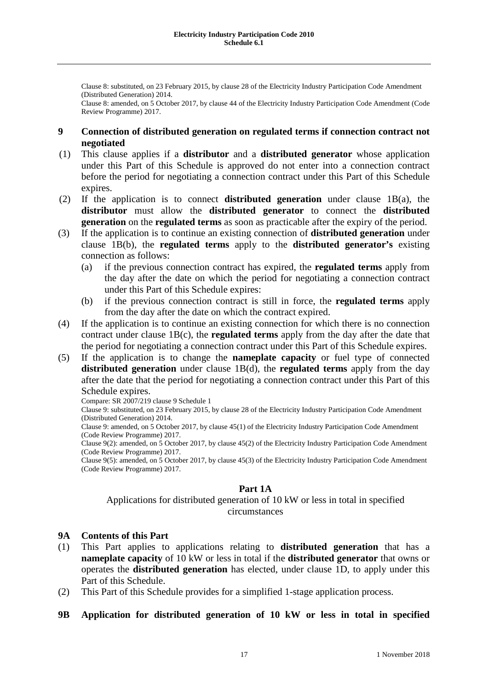Clause 8: substituted, on 23 February 2015, by clause 28 of the Electricity Industry Participation Code Amendment (Distributed Generation) 2014.

Clause 8: amended, on 5 October 2017, by clause 44 of the Electricity Industry Participation Code Amendment (Code Review Programme) 2017.

## **9 Connection of distributed generation on regulated terms if connection contract not negotiated**

- (1) This clause applies if a **distributor** and a **distributed generator** whose application under this Part of this Schedule is approved do not enter into a connection contract before the period for negotiating a connection contract under this Part of this Schedule expires.
- (2) If the application is to connect **distributed generation** under clause 1B(a), the **distributor** must allow the **distributed generator** to connect the **distributed generation** on the **regulated terms** as soon as practicable after the expiry of the period.
- (3) If the application is to continue an existing connection of **distributed generation** under clause 1B(b), the **regulated terms** apply to the **distributed generator's** existing connection as follows:
	- (a) if the previous connection contract has expired, the **regulated terms** apply from the day after the date on which the period for negotiating a connection contract under this Part of this Schedule expires:
	- (b) if the previous connection contract is still in force, the **regulated terms** apply from the day after the date on which the contract expired.
- (4) If the application is to continue an existing connection for which there is no connection contract under clause 1B(c), the **regulated terms** apply from the day after the date that the period for negotiating a connection contract under this Part of this Schedule expires.
- (5) If the application is to change the **nameplate capacity** or fuel type of connected **distributed generation** under clause 1B(d), the **regulated terms** apply from the day after the date that the period for negotiating a connection contract under this Part of this Schedule expires.

Compare: SR 2007/219 clause 9 Schedule 1

Clause 9: substituted, on 23 February 2015, by clause 28 of the Electricity Industry Participation Code Amendment (Distributed Generation) 2014.

Clause 9: amended, on 5 October 2017, by clause 45(1) of the Electricity Industry Participation Code Amendment (Code Review Programme) 2017.

Clause 9(2): amended, on 5 October 2017, by clause 45(2) of the Electricity Industry Participation Code Amendment (Code Review Programme) 2017.

Clause 9(5): amended, on 5 October 2017, by clause 45(3) of the Electricity Industry Participation Code Amendment (Code Review Programme) 2017.

# **Part 1A**

Applications for distributed generation of 10 kW or less in total in specified circumstances

# **9A Contents of this Part**

- (1) This Part applies to applications relating to **distributed generation** that has a **nameplate capacity** of 10 kW or less in total if the **distributed generator** that owns or operates the **distributed generation** has elected, under clause 1D, to apply under this Part of this Schedule.
- (2) This Part of this Schedule provides for a simplified 1-stage application process.

# **9B Application for distributed generation of 10 kW or less in total in specified**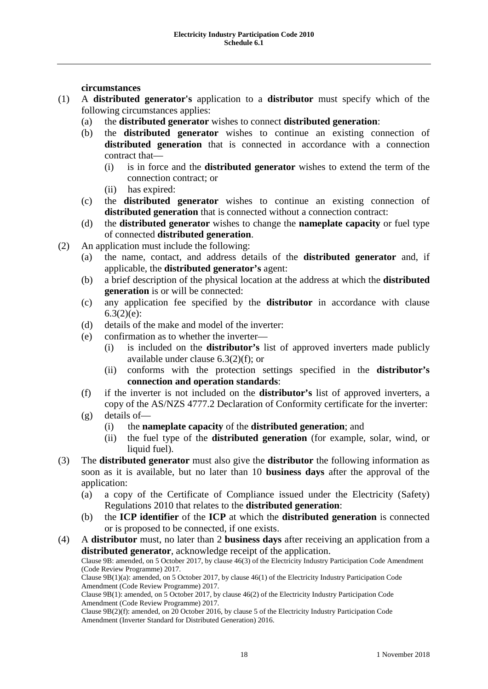## **circumstances**

- (1) A **distributed generator's** application to a **distributor** must specify which of the following circumstances applies:
	- (a) the **distributed generator** wishes to connect **distributed generation**:
	- (b) the **distributed generator** wishes to continue an existing connection of **distributed generation** that is connected in accordance with a connection contract that—
		- (i) is in force and the **distributed generator** wishes to extend the term of the connection contract; or
		- (ii) has expired:
	- (c) the **distributed generator** wishes to continue an existing connection of **distributed generation** that is connected without a connection contract:
	- (d) the **distributed generator** wishes to change the **nameplate capacity** or fuel type of connected **distributed generation**.
- (2) An application must include the following:
	- (a) the name, contact, and address details of the **distributed generator** and, if applicable, the **distributed generator's** agent:
	- (b) a brief description of the physical location at the address at which the **distributed generation** is or will be connected:
	- (c) any application fee specified by the **distributor** in accordance with clause 6.3(2)(e):
	- (d) details of the make and model of the inverter:
	- (e) confirmation as to whether the inverter—
		- (i) is included on the **distributor's** list of approved inverters made publicly available under clause 6.3(2)(f); or
		- (ii) conforms with the protection settings specified in the **distributor's connection and operation standards**:
	- (f) if the inverter is not included on the **distributor's** list of approved inverters, a copy of the AS/NZS 4777.2 Declaration of Conformity certificate for the inverter:
	- (g) details of—
		- (i) the **nameplate capacity** of the **distributed generation**; and
		- (ii) the fuel type of the **distributed generation** (for example, solar, wind, or liquid fuel).
- (3) The **distributed generator** must also give the **distributor** the following information as soon as it is available, but no later than 10 **business days** after the approval of the application:
	- (a) a copy of the Certificate of Compliance issued under the Electricity (Safety) Regulations 2010 that relates to the **distributed generation**:
	- (b) the **ICP identifier** of the **ICP** at which the **distributed generation** is connected or is proposed to be connected, if one exists.
- (4) A **distributor** must, no later than 2 **business days** after receiving an application from a **distributed generator**, acknowledge receipt of the application.

Clause 9B: amended, on 5 October 2017, by clause 46(3) of the Electricity Industry Participation Code Amendment (Code Review Programme) 2017.

Clause 9B(1)(a): amended, on 5 October 2017, by clause 46(1) of the Electricity Industry Participation Code Amendment (Code Review Programme) 2017.

Clause 9B(1): amended, on 5 October 2017, by clause 46(2) of the Electricity Industry Participation Code Amendment (Code Review Programme) 2017.

Clause 9B(2)(f): amended, on 20 October 2016, by clause 5 of the Electricity Industry Participation Code Amendment (Inverter Standard for Distributed Generation) 2016.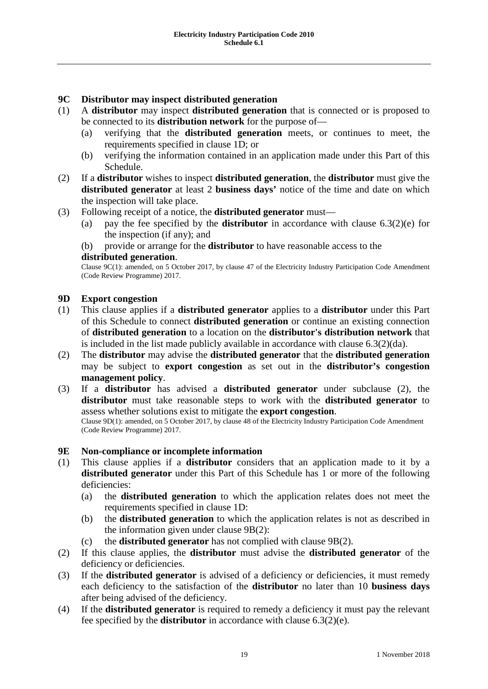## **9C Distributor may inspect distributed generation**

- (1) A **distributor** may inspect **distributed generation** that is connected or is proposed to be connected to its **distribution network** for the purpose of—
	- (a) verifying that the **distributed generation** meets, or continues to meet, the requirements specified in clause 1D; or
	- (b) verifying the information contained in an application made under this Part of this Schedule.
- (2) If a **distributor** wishes to inspect **distributed generation**, the **distributor** must give the **distributed generator** at least 2 **business days'** notice of the time and date on which the inspection will take place.
- (3) Following receipt of a notice, the **distributed generator** must—
	- (a) pay the fee specified by the **distributor** in accordance with clause 6.3(2)(e) for the inspection (if any); and
	- (b) provide or arrange for the **distributor** to have reasonable access to the

#### **distributed generation**.

Clause 9C(1): amended, on 5 October 2017, by clause 47 of the Electricity Industry Participation Code Amendment (Code Review Programme) 2017.

## **9D Export congestion**

- (1) This clause applies if a **distributed generator** applies to a **distributor** under this Part of this Schedule to connect **distributed generation** or continue an existing connection of **distributed generation** to a location on the **distributor's distribution network** that is included in the list made publicly available in accordance with clause  $6.3(2)(da)$ .
- (2) The **distributor** may advise the **distributed generator** that the **distributed generation**  may be subject to **export congestion** as set out in the **distributor's congestion management policy**.
- (3) If a **distributor** has advised a **distributed generator** under subclause (2), the **distributor** must take reasonable steps to work with the **distributed generator** to assess whether solutions exist to mitigate the **export congestion**.

Clause 9D(1): amended, on 5 October 2017, by clause 48 of the Electricity Industry Participation Code Amendment (Code Review Programme) 2017.

# **9E Non-compliance or incomplete information**

- (1) This clause applies if a **distributor** considers that an application made to it by a **distributed generator** under this Part of this Schedule has 1 or more of the following deficiencies:
	- (a) the **distributed generation** to which the application relates does not meet the requirements specified in clause 1D:
	- (b) the **distributed generation** to which the application relates is not as described in the information given under clause 9B(2):
	- (c) the **distributed generator** has not complied with clause 9B(2).
- (2) If this clause applies, the **distributor** must advise the **distributed generator** of the deficiency or deficiencies.
- (3) If the **distributed generator** is advised of a deficiency or deficiencies, it must remedy each deficiency to the satisfaction of the **distributor** no later than 10 **business days** after being advised of the deficiency.
- (4) If the **distributed generator** is required to remedy a deficiency it must pay the relevant fee specified by the **distributor** in accordance with clause 6.3(2)(e).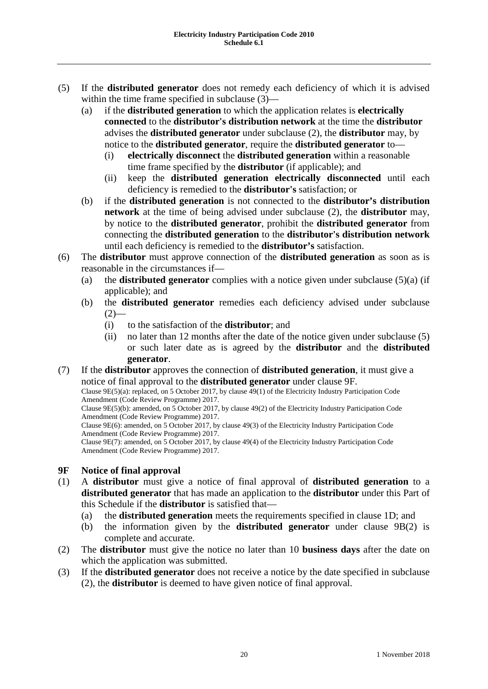- (5) If the **distributed generator** does not remedy each deficiency of which it is advised within the time frame specified in subclause  $(3)$ —
	- (a) if the **distributed generation** to which the application relates is **electrically connected** to the **distributor's distribution network** at the time the **distributor** advises the **distributed generator** under subclause (2), the **distributor** may, by notice to the **distributed generator**, require the **distributed generator** to—
		- (i) **electrically disconnect** the **distributed generation** within a reasonable time frame specified by the **distributor** (if applicable); and
		- (ii) keep the **distributed generation electrically disconnected** until each deficiency is remedied to the **distributor's** satisfaction; or
	- (b) if the **distributed generation** is not connected to the **distributor's distribution network** at the time of being advised under subclause (2), the **distributor** may, by notice to the **distributed generator**, prohibit the **distributed generator** from connecting the **distributed generation** to the **distributor's distribution network** until each deficiency is remedied to the **distributor's** satisfaction.
- (6) The **distributor** must approve connection of the **distributed generation** as soon as is reasonable in the circumstances if—
	- (a) the **distributed generator** complies with a notice given under subclause (5)(a) (if applicable); and
	- (b) the **distributed generator** remedies each deficiency advised under subclause  $(2)$ —
		- (i) to the satisfaction of the **distributor**; and
		- (ii) no later than 12 months after the date of the notice given under subclause (5) or such later date as is agreed by the **distributor** and the **distributed generator**.
- (7) If the **distributor** approves the connection of **distributed generation**, it must give a notice of final approval to the **distributed generator** under clause 9F.

Clause 9E(5)(a): replaced, on 5 October 2017, by clause 49(1) of the Electricity Industry Participation Code Amendment (Code Review Programme) 2017.

Clause 9E(5)(b): amended, on 5 October 2017, by clause 49(2) of the Electricity Industry Participation Code Amendment (Code Review Programme) 2017.

Clause 9E(6): amended, on 5 October 2017, by clause 49(3) of the Electricity Industry Participation Code Amendment (Code Review Programme) 2017.

Clause 9E(7): amended, on 5 October 2017, by clause 49(4) of the Electricity Industry Participation Code Amendment (Code Review Programme) 2017.

# **9F Notice of final approval**

- (1) A **distributor** must give a notice of final approval of **distributed generation** to a **distributed generator** that has made an application to the **distributor** under this Part of this Schedule if the **distributor** is satisfied that—
	- (a) the **distributed generation** meets the requirements specified in clause 1D; and
	- (b) the information given by the **distributed generator** under clause 9B(2) is complete and accurate.
- (2) The **distributor** must give the notice no later than 10 **business days** after the date on which the application was submitted.
- (3) If the **distributed generator** does not receive a notice by the date specified in subclause (2), the **distributor** is deemed to have given notice of final approval.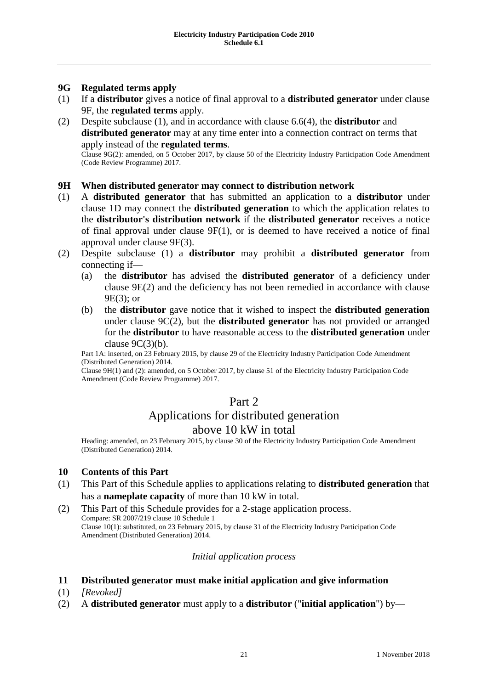## **9G Regulated terms apply**

- (1) If a **distributor** gives a notice of final approval to a **distributed generator** under clause 9F, the **regulated terms** apply.
- (2) Despite subclause (1), and in accordance with clause 6.6(4), the **distributor** and **distributed generator** may at any time enter into a connection contract on terms that apply instead of the **regulated terms**.

Clause 9G(2): amended, on 5 October 2017, by clause 50 of the Electricity Industry Participation Code Amendment (Code Review Programme) 2017.

## **9H When distributed generator may connect to distribution network**

- (1) A **distributed generator** that has submitted an application to a **distributor** under clause 1D may connect the **distributed generation** to which the application relates to the **distributor's distribution network** if the **distributed generator** receives a notice of final approval under clause  $9F(1)$ , or is deemed to have received a notice of final approval under clause 9F(3).
- (2) Despite subclause (1) a **distributor** may prohibit a **distributed generator** from connecting if—
	- (a) the **distributor** has advised the **distributed generator** of a deficiency under clause 9E(2) and the deficiency has not been remedied in accordance with clause 9E(3); or
	- (b) the **distributor** gave notice that it wished to inspect the **distributed generation** under clause 9C(2), but the **distributed generator** has not provided or arranged for the **distributor** to have reasonable access to the **distributed generation** under clause  $9C(3)(b)$ .

Part 1A: inserted, on 23 February 2015, by clause 29 of the Electricity Industry Participation Code Amendment (Distributed Generation) 2014.

Clause 9H(1) and (2): amended, on 5 October 2017, by clause 51 of the Electricity Industry Participation Code Amendment (Code Review Programme) 2017.

# Part 2

# Applications for distributed generation above 10 kW in total

Heading: amended, on 23 February 2015, by clause 30 of the Electricity Industry Participation Code Amendment (Distributed Generation) 2014.

## **10 Contents of this Part**

- (1) This Part of this Schedule applies to applications relating to **distributed generation** that has a **nameplate capacity** of more than 10 kW in total.
- (2) This Part of this Schedule provides for a 2-stage application process. Compare: SR 2007/219 clause 10 Schedule 1 Clause 10(1): substituted, on 23 February 2015, by clause 31 of the Electricity Industry Participation Code Amendment (Distributed Generation) 2014.

# *Initial application process*

## **11 Distributed generator must make initial application and give information**

- (1) *[Revoked]*
- (2) A **distributed generator** must apply to a **distributor** ("**initial application**") by—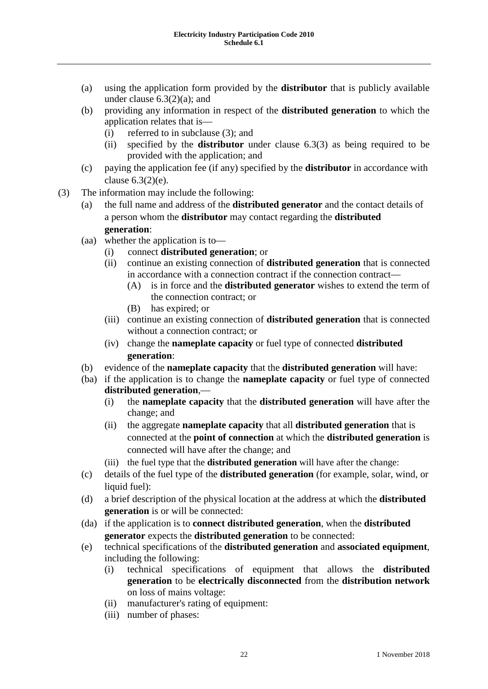- (a) using the application form provided by the **distributor** that is publicly available under clause 6.3(2)(a); and
- (b) providing any information in respect of the **distributed generation** to which the application relates that is—
	- (i) referred to in subclause (3); and
	- (ii) specified by the **distributor** under clause 6.3(3) as being required to be provided with the application; and
- (c) paying the application fee (if any) specified by the **distributor** in accordance with clause 6.3(2)(e).
- (3) The information may include the following:
	- (a) the full name and address of the **distributed generator** and the contact details of a person whom the **distributor** may contact regarding the **distributed generation**:
	- (aa) whether the application is to—
		- (i) connect **distributed generation**; or
		- (ii) continue an existing connection of **distributed generation** that is connected in accordance with a connection contract if the connection contract—
			- (A) is in force and the **distributed generator** wishes to extend the term of the connection contract; or
			- (B) has expired; or
		- (iii) continue an existing connection of **distributed generation** that is connected without a connection contract; or
		- (iv) change the **nameplate capacity** or fuel type of connected **distributed generation**:
	- (b) evidence of the **nameplate capacity** that the **distributed generation** will have:
	- (ba) if the application is to change the **nameplate capacity** or fuel type of connected **distributed generation**,—
		- (i) the **nameplate capacity** that the **distributed generation** will have after the change; and
		- (ii) the aggregate **nameplate capacity** that all **distributed generation** that is connected at the **point of connection** at which the **distributed generation** is connected will have after the change; and
		- (iii) the fuel type that the **distributed generation** will have after the change:
	- (c) details of the fuel type of the **distributed generation** (for example, solar, wind, or liquid fuel):
	- (d) a brief description of the physical location at the address at which the **distributed generation** is or will be connected:
	- (da) if the application is to **connect distributed generation**, when the **distributed generator** expects the **distributed generation** to be connected:
	- (e) technical specifications of the **distributed generation** and **associated equipment**, including the following:
		- (i) technical specifications of equipment that allows the **distributed generation** to be **electrically disconnected** from the **distribution network** on loss of mains voltage:
		- (ii) manufacturer's rating of equipment:
		- (iii) number of phases: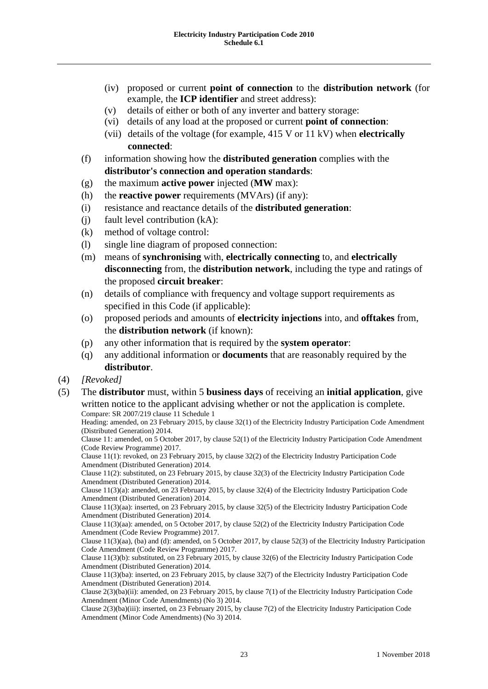- (iv) proposed or current **point of connection** to the **distribution network** (for example, the **ICP identifier** and street address):
- (v) details of either or both of any inverter and battery storage:
- (vi) details of any load at the proposed or current **point of connection**:
- (vii) details of the voltage (for example, 415 V or 11 kV) when **electrically connected**:
- (f) information showing how the **distributed generation** complies with the **distributor's connection and operation standards**:
- (g) the maximum **active power** injected (**MW** max):
- (h) the **reactive power** requirements (MVArs) (if any):
- (i) resistance and reactance details of the **distributed generation**:
- (j) fault level contribution (kA):
- (k) method of voltage control:
- (l) single line diagram of proposed connection:
- (m) means of **synchronising** with, **electrically connecting** to, and **electrically disconnecting** from, the **distribution network**, including the type and ratings of the proposed **circuit breaker**:
- (n) details of compliance with frequency and voltage support requirements as specified in this Code (if applicable):
- (o) proposed periods and amounts of **electricity injections** into, and **offtakes** from, the **distribution network** (if known):
- (p) any other information that is required by the **system operator**:
- (q) any additional information or **documents** that are reasonably required by the **distributor**.
- (4) *[Revoked]*

(5) The **distributor** must, within 5 **business days** of receiving an **initial application**, give written notice to the applicant advising whether or not the application is complete.

Compare: SR 2007/219 clause 11 Schedule 1

Heading: amended, on 23 February 2015, by clause 32(1) of the Electricity Industry Participation Code Amendment (Distributed Generation) 2014.

Clause 11: amended, on 5 October 2017, by clause 52(1) of the Electricity Industry Participation Code Amendment (Code Review Programme) 2017.

Clause 11(1): revoked, on 23 February 2015, by clause 32(2) of the Electricity Industry Participation Code Amendment (Distributed Generation) 2014.

Clause 11(2): substituted, on 23 February 2015, by clause 32(3) of the Electricity Industry Participation Code Amendment (Distributed Generation) 2014.

Clause 11(3)(a): amended, on 23 February 2015, by clause 32(4) of the Electricity Industry Participation Code Amendment (Distributed Generation) 2014.

Clause 11(3)(aa): inserted, on 23 February 2015, by clause 32(5) of the Electricity Industry Participation Code Amendment (Distributed Generation) 2014.

Clause 11(3)(aa): amended, on 5 October 2017, by clause 52(2) of the Electricity Industry Participation Code Amendment (Code Review Programme) 2017.

Clause 11(3)(aa), (ba) and (d): amended, on 5 October 2017, by clause 52(3) of the Electricity Industry Participation Code Amendment (Code Review Programme) 2017.

Clause 11(3)(b): substituted, on 23 February 2015, by clause 32(6) of the Electricity Industry Participation Code Amendment (Distributed Generation) 2014.

Clause 11(3)(ba): inserted, on 23 February 2015, by clause 32(7) of the Electricity Industry Participation Code Amendment (Distributed Generation) 2014.

Clause 2(3)(ba)(ii): amended, on 23 February 2015, by clause 7(1) of the Electricity Industry Participation Code Amendment (Minor Code Amendments) (No 3) 2014.

Clause 2(3)(ba)(iii): inserted, on 23 February 2015, by clause 7(2) of the Electricity Industry Participation Code Amendment (Minor Code Amendments) (No 3) 2014.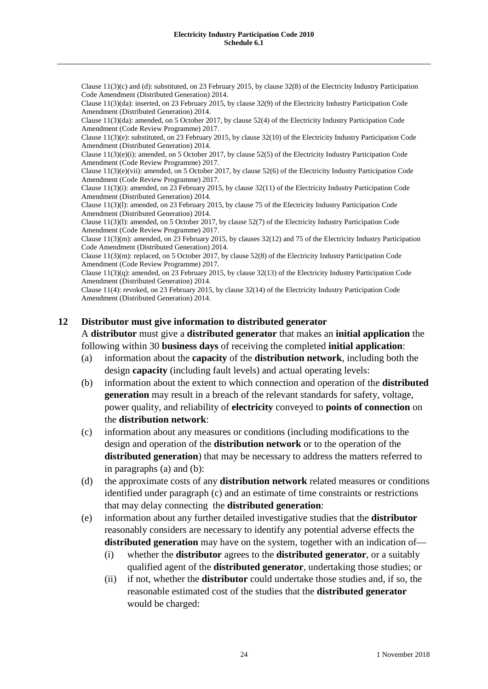Clause 11(3)(c) and (d): substituted, on 23 February 2015, by clause 32(8) of the Electricity Industry Participation Code Amendment (Distributed Generation) 2014.

Clause 11(3)(da): inserted, on 23 February 2015, by clause 32(9) of the Electricity Industry Participation Code Amendment (Distributed Generation) 2014.

Clause 11(3)(da): amended, on 5 October 2017, by clause 52(4) of the Electricity Industry Participation Code Amendment (Code Review Programme) 2017.

Clause 11(3)(e): substituted, on 23 February 2015, by clause 32(10) of the Electricity Industry Participation Code Amendment (Distributed Generation) 2014.

Clause 11(3)(e)(i): amended, on 5 October 2017, by clause 52(5) of the Electricity Industry Participation Code Amendment (Code Review Programme) 2017.

Clause 11(3)(e)(vii): amended, on 5 October 2017, by clause 52(6) of the Electricity Industry Participation Code Amendment (Code Review Programme) 2017.

Clause 11(3)(i): amended, on 23 February 2015, by clause 32(11) of the Electricity Industry Participation Code Amendment (Distributed Generation) 2014.

Clause 11(3)(l): amended, on 23 February 2015, by clause 75 of the Electricity Industry Participation Code Amendment (Distributed Generation) 2014.

Clause 11(3)(l): amended, on 5 October 2017, by clause 52(7) of the Electricity Industry Participation Code Amendment (Code Review Programme) 2017.

Clause 11(3)(m): amended, on 23 February 2015, by clauses 32(12) and 75 of the Electricity Industry Participation Code Amendment (Distributed Generation) 2014.

Clause 11(3)(m): replaced, on 5 October 2017, by clause 52(8) of the Electricity Industry Participation Code Amendment (Code Review Programme) 2017.

Clause 11(3)(q): amended, on 23 February 2015, by clause 32(13) of the Electricity Industry Participation Code Amendment (Distributed Generation) 2014.

Clause 11(4): revoked, on 23 February 2015, by clause 32(14) of the Electricity Industry Participation Code Amendment (Distributed Generation) 2014.

#### **12 Distributor must give information to distributed generator**

A **distributor** must give a **distributed generator** that makes an **initial application** the following within 30 **business days** of receiving the completed **initial application**:

- (a) information about the **capacity** of the **distribution network**, including both the design **capacity** (including fault levels) and actual operating levels:
- (b) information about the extent to which connection and operation of the **distributed generation** may result in a breach of the relevant standards for safety, voltage, power quality, and reliability of **electricity** conveyed to **points of connection** on the **distribution network**:
- (c) information about any measures or conditions (including modifications to the design and operation of the **distribution network** or to the operation of the **distributed generation**) that may be necessary to address the matters referred to in paragraphs (a) and (b):
- (d) the approximate costs of any **distribution network** related measures or conditions identified under paragraph (c) and an estimate of time constraints or restrictions that may delay connecting the **distributed generation**:
- (e) information about any further detailed investigative studies that the **distributor** reasonably considers are necessary to identify any potential adverse effects the **distributed generation** may have on the system, together with an indication of—
	- (i) whether the **distributor** agrees to the **distributed generator**, or a suitably qualified agent of the **distributed generator**, undertaking those studies; or
	- (ii) if not, whether the **distributor** could undertake those studies and, if so, the reasonable estimated cost of the studies that the **distributed generator** would be charged: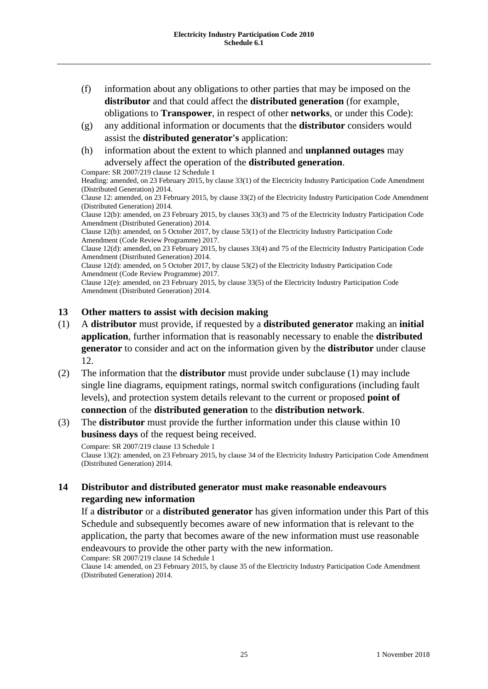- (f) information about any obligations to other parties that may be imposed on the **distributor** and that could affect the **distributed generation** (for example, obligations to **Transpower**, in respect of other **networks**, or under this Code):
- (g) any additional information or documents that the **distributor** considers would assist the **distributed generator's** application:
- (h) information about the extent to which planned and **unplanned outages** may adversely affect the operation of the **distributed generation**.

Compare: SR 2007/219 clause 12 Schedule 1 Heading: amended, on 23 February 2015, by clause 33(1) of the Electricity Industry Participation Code Amendment (Distributed Generation) 2014. Clause 12: amended, on 23 February 2015, by clause 33(2) of the Electricity Industry Participation Code Amendment (Distributed Generation) 2014. Clause 12(b): amended, on 23 February 2015, by clauses 33(3) and 75 of the Electricity Industry Participation Code Amendment (Distributed Generation) 2014. Clause 12(b): amended, on 5 October 2017, by clause 53(1) of the Electricity Industry Participation Code Amendment (Code Review Programme) 2017. Clause 12(d): amended, on 23 February 2015, by clauses 33(4) and 75 of the Electricity Industry Participation Code Amendment (Distributed Generation) 2014. Clause 12(d): amended, on 5 October 2017, by clause 53(2) of the Electricity Industry Participation Code Amendment (Code Review Programme) 2017. Clause 12(e): amended, on 23 February 2015, by clause 33(5) of the Electricity Industry Participation Code Amendment (Distributed Generation) 2014.

#### **13 Other matters to assist with decision making**

- (1) A **distributor** must provide, if requested by a **distributed generator** making an **initial application**, further information that is reasonably necessary to enable the **distributed generator** to consider and act on the information given by the **distributor** under clause 12.
- (2) The information that the **distributor** must provide under subclause (1) may include single line diagrams, equipment ratings, normal switch configurations (including fault levels), and protection system details relevant to the current or proposed **point of connection** of the **distributed generation** to the **distribution network**.
- (3) The **distributor** must provide the further information under this clause within 10 **business days** of the request being received.

Compare: SR 2007/219 clause 13 Schedule 1 Clause 13(2): amended, on 23 February 2015, by clause 34 of the Electricity Industry Participation Code Amendment (Distributed Generation) 2014.

# **14 Distributor and distributed generator must make reasonable endeavours regarding new information**

If a **distributor** or a **distributed generator** has given information under this Part of this Schedule and subsequently becomes aware of new information that is relevant to the application, the party that becomes aware of the new information must use reasonable

endeavours to provide the other party with the new information. Compare: SR 2007/219 clause 14 Schedule 1

Clause 14: amended, on 23 February 2015, by clause 35 of the Electricity Industry Participation Code Amendment (Distributed Generation) 2014.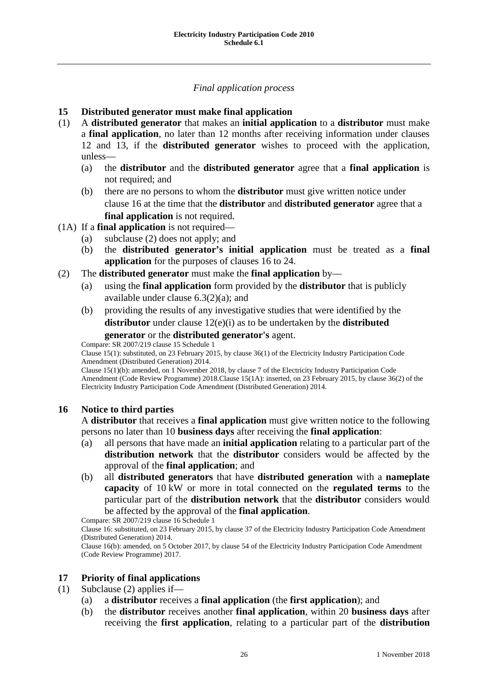## *Final application process*

## **15 Distributed generator must make final application**

- (1) A **distributed generator** that makes an **initial application** to a **distributor** must make a **final application**, no later than 12 months after receiving information under clauses 12 and 13, if the **distributed generator** wishes to proceed with the application, unless—
	- (a) the **distributor** and the **distributed generator** agree that a **final application** is not required; and
	- (b) there are no persons to whom the **distributor** must give written notice under clause 16 at the time that the **distributor** and **distributed generator** agree that a **final application** is not required.
- (1A) If a **final application** is not required—
	- (a) subclause (2) does not apply; and
	- (b) the **distributed generator's initial application** must be treated as a **final application** for the purposes of clauses 16 to 24.
- (2) The **distributed generator** must make the **final application** by—
	- (a) using the **final application** form provided by the **distributor** that is publicly available under clause 6.3(2)(a); and
	- (b) providing the results of any investigative studies that were identified by the **distributor** under clause 12(e)(i) as to be undertaken by the **distributed generator** or the **distributed generator's** agent.

Compare: SR 2007/219 clause 15 Schedule 1

Clause 15(1): substituted, on 23 February 2015, by clause 36(1) of the Electricity Industry Participation Code Amendment (Distributed Generation) 2014.

Clause 15(1)(b): amended, on 1 November 2018, by clause 7 of the Electricity Industry Participation Code Amendment (Code Review Programme) 2018.Clause 15(1A): inserted, on 23 February 2015, by clause 36(2) of the Electricity Industry Participation Code Amendment (Distributed Generation) 2014.

## **16 Notice to third parties**

A **distributor** that receives a **final application** must give written notice to the following persons no later than 10 **business days** after receiving the **final application**:

- (a) all persons that have made an **initial application** relating to a particular part of the **distribution network** that the **distributor** considers would be affected by the approval of the **final application**; and
- (b) all **distributed generators** that have **distributed generation** with a **nameplate capacity** of 10 kW or more in total connected on the **regulated terms** to the particular part of the **distribution network** that the **distributor** considers would be affected by the approval of the **final application**.

Compare: SR 2007/219 clause 16 Schedule 1

Clause 16: substituted, on 23 February 2015, by clause 37 of the Electricity Industry Participation Code Amendment (Distributed Generation) 2014.

Clause 16(b): amended, on 5 October 2017, by clause 54 of the Electricity Industry Participation Code Amendment (Code Review Programme) 2017.

## **17 Priority of final applications**

- (1) Subclause (2) applies if—
	- (a) a **distributor** receives a **final application** (the **first application**); and
	- (b) the **distributor** receives another **final application**, within 20 **business days** after receiving the **first application**, relating to a particular part of the **distribution**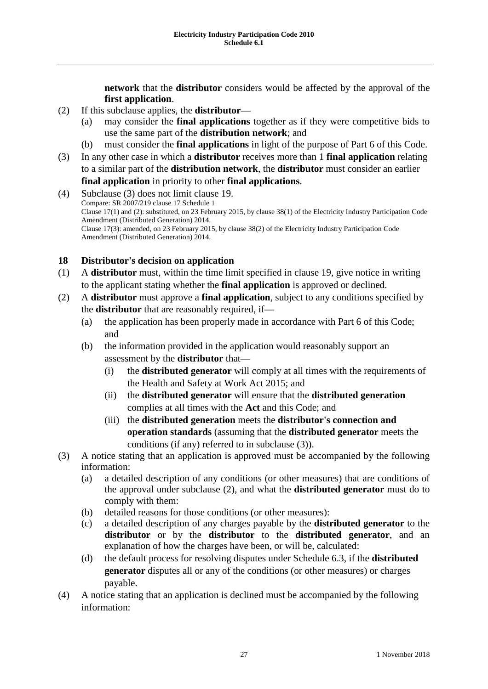**network** that the **distributor** considers would be affected by the approval of the **first application**.

- (2) If this subclause applies, the **distributor**
	- (a) may consider the **final applications** together as if they were competitive bids to use the same part of the **distribution network**; and
	- (b) must consider the **final applications** in light of the purpose of Part 6 of this Code.
- (3) In any other case in which a **distributor** receives more than 1 **final application** relating to a similar part of the **distribution network**, the **distributor** must consider an earlier **final application** in priority to other **final applications**.
- (4) Subclause (3) does not limit clause 19. Compare: SR 2007/219 clause 17 Schedule 1 Clause 17(1) and (2): substituted, on 23 February 2015, by clause 38(1) of the Electricity Industry Participation Code Amendment (Distributed Generation) 2014. Clause 17(3): amended, on 23 February 2015, by clause 38(2) of the Electricity Industry Participation Code Amendment (Distributed Generation) 2014.

#### **18 Distributor's decision on application**

- (1) A **distributor** must, within the time limit specified in clause 19, give notice in writing to the applicant stating whether the **final application** is approved or declined.
- (2) A **distributor** must approve a **final application**, subject to any conditions specified by the **distributor** that are reasonably required, if—
	- (a) the application has been properly made in accordance with Part 6 of this Code; and
	- (b) the information provided in the application would reasonably support an assessment by the **distributor** that—
		- (i) the **distributed generator** will comply at all times with the requirements of the Health and Safety at Work Act 2015; and
		- (ii) the **distributed generator** will ensure that the **distributed generation** complies at all times with the **Act** and this Code; and
		- (iii) the **distributed generation** meets the **distributor's connection and operation standards** (assuming that the **distributed generator** meets the conditions (if any) referred to in subclause (3)).
- (3) A notice stating that an application is approved must be accompanied by the following information:
	- (a) a detailed description of any conditions (or other measures) that are conditions of the approval under subclause (2), and what the **distributed generator** must do to comply with them:
	- (b) detailed reasons for those conditions (or other measures):
	- (c) a detailed description of any charges payable by the **distributed generator** to the **distributor** or by the **distributor** to the **distributed generator**, and an explanation of how the charges have been, or will be, calculated:
	- (d) the default process for resolving disputes under Schedule 6.3, if the **distributed generator** disputes all or any of the conditions (or other measures) or charges payable.
- (4) A notice stating that an application is declined must be accompanied by the following information: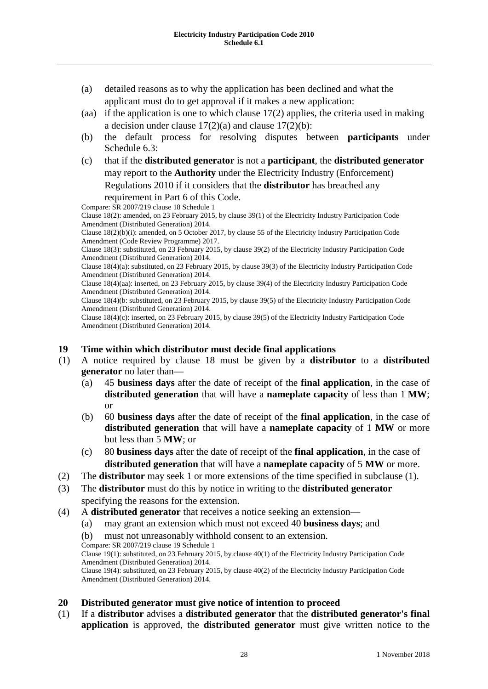- (a) detailed reasons as to why the application has been declined and what the applicant must do to get approval if it makes a new application:
- (aa) if the application is one to which clause  $17(2)$  applies, the criteria used in making a decision under clause  $17(2)(a)$  and clause  $17(2)(b)$ :
- (b) the default process for resolving disputes between **participants** under Schedule 6.3:
- (c) that if the **distributed generator** is not a **participant**, the **distributed generator** may report to the **Authority** under the Electricity Industry (Enforcement) Regulations 2010 if it considers that the **distributor** has breached any requirement in Part 6 of this Code.

Compare: SR 2007/219 clause 18 Schedule 1

Clause 18(2): amended, on 23 February 2015, by clause 39(1) of the Electricity Industry Participation Code Amendment (Distributed Generation) 2014.

Clause 18(2)(b)(i): amended, on 5 October 2017, by clause 55 of the Electricity Industry Participation Code Amendment (Code Review Programme) 2017.

Clause 18(3): substituted, on 23 February 2015, by clause 39(2) of the Electricity Industry Participation Code Amendment (Distributed Generation) 2014.

Clause 18(4)(a): substituted, on 23 February 2015, by clause 39(3) of the Electricity Industry Participation Code Amendment (Distributed Generation) 2014.

Clause 18(4)(aa): inserted, on 23 February 2015, by clause 39(4) of the Electricity Industry Participation Code Amendment (Distributed Generation) 2014.

Clause 18(4)(b: substituted, on 23 February 2015, by clause 39(5) of the Electricity Industry Participation Code Amendment (Distributed Generation) 2014.

Clause 18(4)(c): inserted, on 23 February 2015, by clause 39(5) of the Electricity Industry Participation Code Amendment (Distributed Generation) 2014.

## **19 Time within which distributor must decide final applications**

- (1) A notice required by clause 18 must be given by a **distributor** to a **distributed generator** no later than—
	- (a) 45 **business days** after the date of receipt of the **final application**, in the case of **distributed generation** that will have a **nameplate capacity** of less than 1 **MW**; or
	- (b) 60 **business days** after the date of receipt of the **final application**, in the case of **distributed generation** that will have a **nameplate capacity** of 1 **MW** or more but less than 5 **MW**; or
	- (c) 80 **business days** after the date of receipt of the **final application**, in the case of **distributed generation** that will have a **nameplate capacity** of 5 **MW** or more.
- (2) The **distributor** may seek 1 or more extensions of the time specified in subclause (1).
- (3) The **distributor** must do this by notice in writing to the **distributed generator** specifying the reasons for the extension.
- (4) A **distributed generator** that receives a notice seeking an extension—
	- (a) may grant an extension which must not exceed 40 **business days**; and
	- (b) must not unreasonably withhold consent to an extension.

Compare: SR 2007/219 clause 19 Schedule 1

Clause 19(1): substituted, on 23 February 2015, by clause 40(1) of the Electricity Industry Participation Code Amendment (Distributed Generation) 2014.

Clause 19(4): substituted, on 23 February 2015, by clause 40(2) of the Electricity Industry Participation Code Amendment (Distributed Generation) 2014.

## **20 Distributed generator must give notice of intention to proceed**

(1) If a **distributor** advises a **distributed generator** that the **distributed generator's final application** is approved, the **distributed generator** must give written notice to the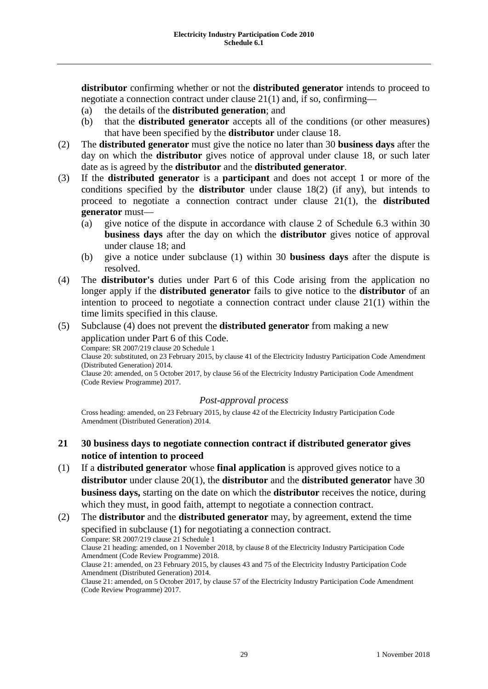**distributor** confirming whether or not the **distributed generator** intends to proceed to negotiate a connection contract under clause 21(1) and, if so, confirming—

- (a) the details of the **distributed generation**; and
- (b) that the **distributed generator** accepts all of the conditions (or other measures) that have been specified by the **distributor** under clause 18.
- (2) The **distributed generator** must give the notice no later than 30 **business days** after the day on which the **distributor** gives notice of approval under clause 18, or such later date as is agreed by the **distributor** and the **distributed generator**.
- (3) If the **distributed generator** is a **participant** and does not accept 1 or more of the conditions specified by the **distributor** under clause 18(2) (if any), but intends to proceed to negotiate a connection contract under clause 21(1), the **distributed generator** must—
	- (a) give notice of the dispute in accordance with clause 2 of Schedule 6.3 within 30 **business days** after the day on which the **distributor** gives notice of approval under clause 18; and
	- (b) give a notice under subclause (1) within 30 **business days** after the dispute is resolved.
- (4) The **distributor's** duties under Part 6 of this Code arising from the application no longer apply if the **distributed generator** fails to give notice to the **distributor** of an intention to proceed to negotiate a connection contract under clause  $21(1)$  within the time limits specified in this clause.
- (5) Subclause (4) does not prevent the **distributed generator** from making a new application under Part 6 of this Code. Compare: SR 2007/219 clause 20 Schedule 1 Clause 20: substituted, on 23 February 2015, by clause 41 of the Electricity Industry Participation Code Amendment (Distributed Generation) 2014. Clause 20: amended, on 5 October 2017, by clause 56 of the Electricity Industry Participation Code Amendment (Code Review Programme) 2017.

## *Post-approval process*

Cross heading: amended, on 23 February 2015, by clause 42 of the Electricity Industry Participation Code Amendment (Distributed Generation) 2014.

## **21 30 business days to negotiate connection contract if distributed generator gives notice of intention to proceed**

- (1) If a **distributed generator** whose **final application** is approved gives notice to a **distributor** under clause 20(1), the **distributor** and the **distributed generator** have 30 **business days,** starting on the date on which the **distributor** receives the notice, during which they must, in good faith, attempt to negotiate a connection contract.
- (2) The **distributor** and the **distributed generator** may, by agreement, extend the time specified in subclause (1) for negotiating a connection contract. Compare: SR 2007/219 clause 21 Schedule 1 Clause 21 heading: amended, on 1 November 2018, by clause 8 of the Electricity Industry Participation Code Amendment (Code Review Programme) 2018. Clause 21: amended, on 23 February 2015, by clauses 43 and 75 of the Electricity Industry Participation Code Amendment (Distributed Generation) 2014. Clause 21: amended, on 5 October 2017, by clause 57 of the Electricity Industry Participation Code Amendment (Code Review Programme) 2017.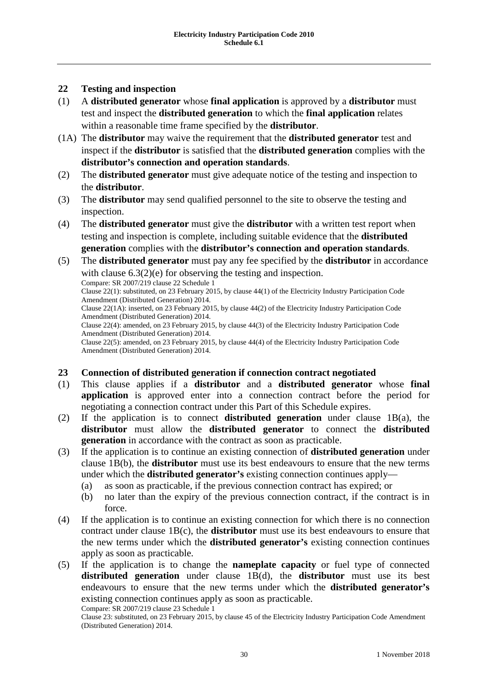## **22 Testing and inspection**

- (1) A **distributed generator** whose **final application** is approved by a **distributor** must test and inspect the **distributed generation** to which the **final application** relates within a reasonable time frame specified by the **distributor**.
- (1A) The **distributor** may waive the requirement that the **distributed generator** test and inspect if the **distributor** is satisfied that the **distributed generation** complies with the **distributor's connection and operation standards**.
- (2) The **distributed generator** must give adequate notice of the testing and inspection to the **distributor**.
- (3) The **distributor** may send qualified personnel to the site to observe the testing and inspection.
- (4) The **distributed generator** must give the **distributor** with a written test report when testing and inspection is complete, including suitable evidence that the **distributed generation** complies with the **distributor's connection and operation standards**.
- (5) The **distributed generator** must pay any fee specified by the **distributor** in accordance with clause  $6.3(2)(e)$  for observing the testing and inspection. Compare: SR 2007/219 clause 22 Schedule 1 Clause 22(1): substituted, on 23 February 2015, by clause 44(1) of the Electricity Industry Participation Code Amendment (Distributed Generation) 2014. Clause 22(1A): inserted, on 23 February 2015, by clause 44(2) of the Electricity Industry Participation Code Amendment (Distributed Generation) 2014. Clause 22(4): amended, on 23 February 2015, by clause 44(3) of the Electricity Industry Participation Code Amendment (Distributed Generation) 2014. Clause 22(5): amended, on 23 February 2015, by clause 44(4) of the Electricity Industry Participation Code Amendment (Distributed Generation) 2014.

## **23 Connection of distributed generation if connection contract negotiated**

- (1) This clause applies if a **distributor** and a **distributed generator** whose **final application** is approved enter into a connection contract before the period for negotiating a connection contract under this Part of this Schedule expires.
- (2) If the application is to connect **distributed generation** under clause 1B(a), the **distributor** must allow the **distributed generator** to connect the **distributed generation** in accordance with the contract as soon as practicable.
- (3) If the application is to continue an existing connection of **distributed generation** under clause 1B(b), the **distributor** must use its best endeavours to ensure that the new terms under which the **distributed generator's** existing connection continues apply—
	- (a) as soon as practicable, if the previous connection contract has expired; or
	- (b) no later than the expiry of the previous connection contract, if the contract is in force.
- (4) If the application is to continue an existing connection for which there is no connection contract under clause 1B(c), the **distributor** must use its best endeavours to ensure that the new terms under which the **distributed generator's** existing connection continues apply as soon as practicable.
- (5) If the application is to change the **nameplate capacity** or fuel type of connected **distributed generation** under clause 1B(d), the **distributor** must use its best endeavours to ensure that the new terms under which the **distributed generator's**  existing connection continues apply as soon as practicable.

Compare: SR 2007/219 clause 23 Schedule 1

Clause 23: substituted, on 23 February 2015, by clause 45 of the Electricity Industry Participation Code Amendment (Distributed Generation) 2014.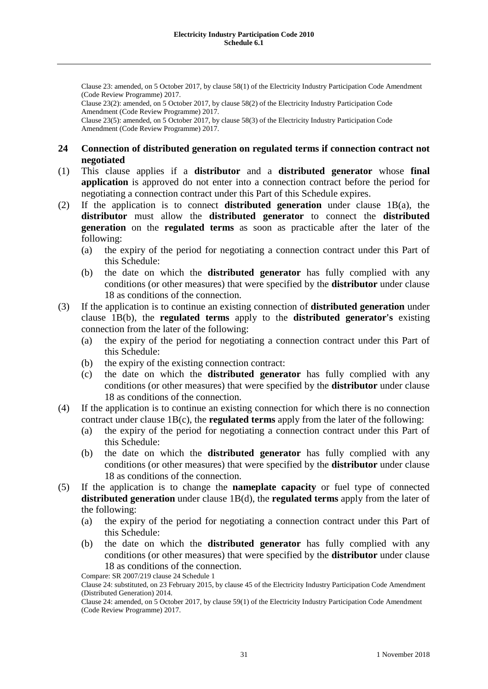Clause 23: amended, on 5 October 2017, by clause 58(1) of the Electricity Industry Participation Code Amendment (Code Review Programme) 2017.

Clause 23(2): amended, on 5 October 2017, by clause 58(2) of the Electricity Industry Participation Code Amendment (Code Review Programme) 2017.

Clause 23(5): amended, on 5 October 2017, by clause 58(3) of the Electricity Industry Participation Code Amendment (Code Review Programme) 2017.

## **24 Connection of distributed generation on regulated terms if connection contract not negotiated**

- (1) This clause applies if a **distributor** and a **distributed generator** whose **final application** is approved do not enter into a connection contract before the period for negotiating a connection contract under this Part of this Schedule expires.
- (2) If the application is to connect **distributed generation** under clause 1B(a), the **distributor** must allow the **distributed generator** to connect the **distributed generation** on the **regulated terms** as soon as practicable after the later of the following:
	- (a) the expiry of the period for negotiating a connection contract under this Part of this Schedule:
	- (b) the date on which the **distributed generator** has fully complied with any conditions (or other measures) that were specified by the **distributor** under clause 18 as conditions of the connection.
- (3) If the application is to continue an existing connection of **distributed generation** under clause 1B(b), the **regulated terms** apply to the **distributed generator's** existing connection from the later of the following:
	- (a) the expiry of the period for negotiating a connection contract under this Part of this Schedule:
	- (b) the expiry of the existing connection contract:
	- (c) the date on which the **distributed generator** has fully complied with any conditions (or other measures) that were specified by the **distributor** under clause 18 as conditions of the connection.
- (4) If the application is to continue an existing connection for which there is no connection contract under clause 1B(c), the **regulated terms** apply from the later of the following:
	- (a) the expiry of the period for negotiating a connection contract under this Part of this Schedule:
	- (b) the date on which the **distributed generator** has fully complied with any conditions (or other measures) that were specified by the **distributor** under clause 18 as conditions of the connection.
- (5) If the application is to change the **nameplate capacity** or fuel type of connected **distributed generation** under clause 1B(d), the **regulated terms** apply from the later of the following:
	- (a) the expiry of the period for negotiating a connection contract under this Part of this Schedule:
	- (b) the date on which the **distributed generator** has fully complied with any conditions (or other measures) that were specified by the **distributor** under clause 18 as conditions of the connection.

Compare: SR 2007/219 clause 24 Schedule 1

Clause 24: substituted, on 23 February 2015, by clause 45 of the Electricity Industry Participation Code Amendment (Distributed Generation) 2014.

Clause 24: amended, on 5 October 2017, by clause 59(1) of the Electricity Industry Participation Code Amendment (Code Review Programme) 2017.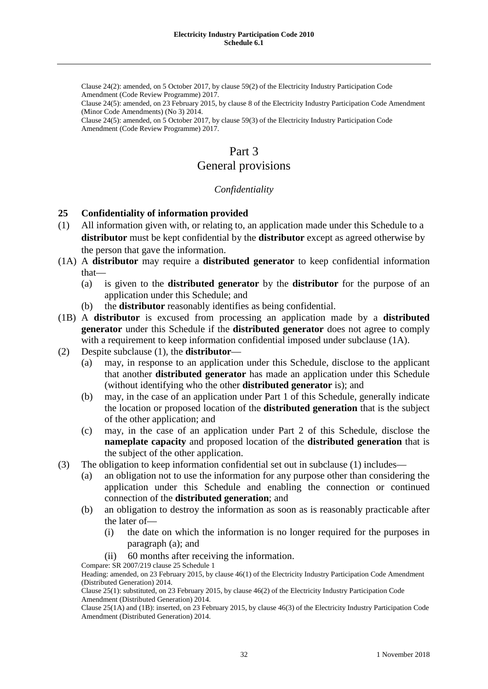Clause 24(2): amended, on 5 October 2017, by clause 59(2) of the Electricity Industry Participation Code Amendment (Code Review Programme) 2017.

Clause 24(5): amended, on 23 February 2015, by clause 8 of the Electricity Industry Participation Code Amendment (Minor Code Amendments) (No 3) 2014.

Clause 24(5): amended, on 5 October 2017, by clause 59(3) of the Electricity Industry Participation Code Amendment (Code Review Programme) 2017.

# Part 3

# General provisions

# *Confidentiality*

# **25 Confidentiality of information provided**

- (1) All information given with, or relating to, an application made under this Schedule to a **distributor** must be kept confidential by the **distributor** except as agreed otherwise by the person that gave the information.
- (1A) A **distributor** may require a **distributed generator** to keep confidential information that—
	- (a) is given to the **distributed generator** by the **distributor** for the purpose of an application under this Schedule; and
	- (b) the **distributor** reasonably identifies as being confidential.
- (1B) A **distributor** is excused from processing an application made by a **distributed generator** under this Schedule if the **distributed generator** does not agree to comply with a requirement to keep information confidential imposed under subclause (1A).
- (2) Despite subclause (1), the **distributor**
	- (a) may, in response to an application under this Schedule, disclose to the applicant that another **distributed generator** has made an application under this Schedule (without identifying who the other **distributed generator** is); and
	- (b) may, in the case of an application under Part 1 of this Schedule, generally indicate the location or proposed location of the **distributed generation** that is the subject of the other application; and
	- (c) may, in the case of an application under Part 2 of this Schedule, disclose the **nameplate capacity** and proposed location of the **distributed generation** that is the subject of the other application.
- (3) The obligation to keep information confidential set out in subclause (1) includes—
	- (a) an obligation not to use the information for any purpose other than considering the application under this Schedule and enabling the connection or continued connection of the **distributed generation**; and
	- (b) an obligation to destroy the information as soon as is reasonably practicable after the later of—
		- (i) the date on which the information is no longer required for the purposes in paragraph (a); and
		- (ii) 60 months after receiving the information.

Compare: SR 2007/219 clause 25 Schedule 1

Heading: amended, on 23 February 2015, by clause 46(1) of the Electricity Industry Participation Code Amendment (Distributed Generation) 2014.

Clause 25(1): substituted, on 23 February 2015, by clause 46(2) of the Electricity Industry Participation Code Amendment (Distributed Generation) 2014.

Clause 25(1A) and (1B): inserted, on 23 February 2015, by clause 46(3) of the Electricity Industry Participation Code Amendment (Distributed Generation) 2014.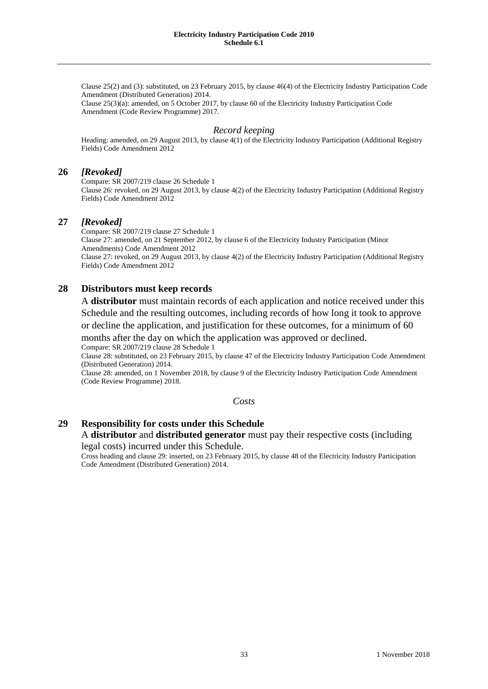Clause 25(2) and (3): substituted, on 23 February 2015, by clause 46(4) of the Electricity Industry Participation Code Amendment (Distributed Generation) 2014.

Clause 25(3)(a): amended, on 5 October 2017, by clause 60 of the Electricity Industry Participation Code Amendment (Code Review Programme) 2017.

#### *Record keeping*

Heading: amended, on 29 August 2013, by clause 4(1) of the Electricity Industry Participation (Additional Registry Fields) Code Amendment 2012

#### **26** *[Revoked]*

Compare: SR 2007/219 clause 26 Schedule 1

Clause 26: revoked, on 29 August 2013, by clause 4(2) of the Electricity Industry Participation (Additional Registry Fields) Code Amendment 2012

#### **27** *[Revoked]*

Compare: SR 2007/219 clause 27 Schedule 1 Clause 27: amended, on 21 September 2012, by clause 6 of the Electricity Industry Participation (Minor Amendments) Code Amendment 2012 Clause 27: revoked, on 29 August 2013, by clause 4(2) of the Electricity Industry Participation (Additional Registry Fields) Code Amendment 2012

#### **28 Distributors must keep records**

A **distributor** must maintain records of each application and notice received under this Schedule and the resulting outcomes, including records of how long it took to approve or decline the application, and justification for these outcomes, for a minimum of 60 months after the day on which the application was approved or declined. Compare: SR 2007/219 clause 28 Schedule 1

Clause 28: substituted, on 23 February 2015, by clause 47 of the Electricity Industry Participation Code Amendment (Distributed Generation) 2014.

Clause 28: amended, on 1 November 2018, by clause 9 of the Electricity Industry Participation Code Amendment (Code Review Programme) 2018.

#### *Costs*

## **29 Responsibility for costs under this Schedule** A **distributor** and **distributed generator** must pay their respective costs (including

legal costs) incurred under this Schedule. Cross heading and clause 29: inserted, on 23 February 2015, by clause 48 of the Electricity Industry Participation Code Amendment (Distributed Generation) 2014.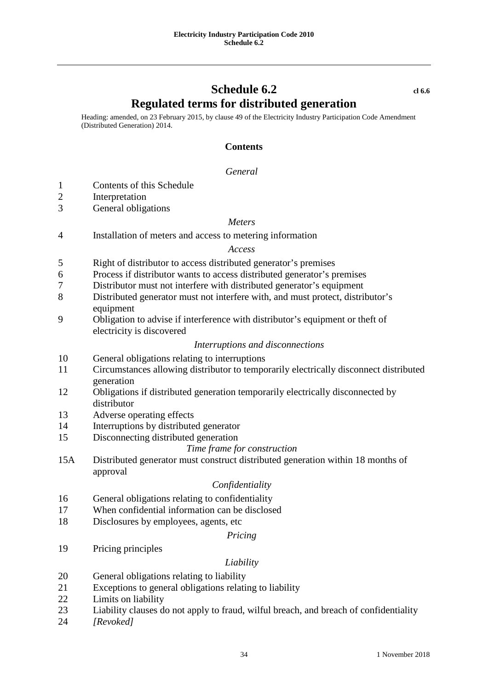# **Schedule 6.2 cl 6.6 Regulated terms for distributed generation**

Heading: amended, on 23 February 2015, by clause 49 of the Electricity Industry Participation Code Amendment (Distributed Generation) 2014.

#### **Contents**

#### *General*

- 1 Contents of this Schedule
- 2 Interpretation
- 3 General obligations

#### *Meters*

4 Installation of meters and access to metering information

#### *Access*

- 5 Right of distributor to access distributed generator's premises
- 6 Process if distributor wants to access distributed generator's premises
- 7 Distributor must not interfere with distributed generator's equipment
- 8 Distributed generator must not interfere with, and must protect, distributor's equipment
- 9 Obligation to advise if interference with distributor's equipment or theft of electricity is discovered

#### *Interruptions and disconnections*

- 10 General obligations relating to interruptions
- 11 Circumstances allowing distributor to temporarily electrically disconnect distributed generation
- 12 Obligations if distributed generation temporarily electrically disconnected by distributor
- 13 Adverse operating effects
- 14 Interruptions by distributed generator
- 15 Disconnecting distributed generation

#### *Time frame for construction*

15A Distributed generator must construct distributed generation within 18 months of approval

#### *Confidentiality*

- 16 General obligations relating to confidentiality
- 17 When confidential information can be disclosed
- 18 Disclosures by employees, agents, etc

#### *Pricing*

19 Pricing principles

#### *Liability*

- 20 General obligations relating to liability
- 21 Exceptions to general obligations relating to liability
- 22 Limits on liability
- 23 Liability clauses do not apply to fraud, wilful breach, and breach of confidentiality
- 24 *[Revoked]*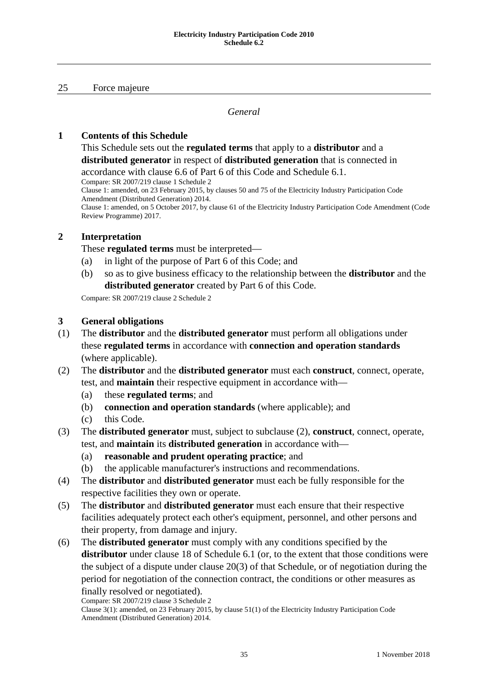#### 25 Force majeure

#### *General*

#### **1 Contents of this Schedule**

This Schedule sets out the **regulated terms** that apply to a **distributor** and a **distributed generator** in respect of **distributed generation** that is connected in

accordance with clause 6.6 of Part 6 of this Code and Schedule 6.1. Compare: SR 2007/219 clause 1 Schedule 2

Clause 1: amended, on 23 February 2015, by clauses 50 and 75 of the Electricity Industry Participation Code Amendment (Distributed Generation) 2014.

Clause 1: amended, on 5 October 2017, by clause 61 of the Electricity Industry Participation Code Amendment (Code Review Programme) 2017.

#### **2 Interpretation**

These **regulated terms** must be interpreted—

- (a) in light of the purpose of Part 6 of this Code; and
- (b) so as to give business efficacy to the relationship between the **distributor** and the **distributed generator** created by Part 6 of this Code.

Compare: SR 2007/219 clause 2 Schedule 2

## **3 General obligations**

- (1) The **distributor** and the **distributed generator** must perform all obligations under these **regulated terms** in accordance with **connection and operation standards** (where applicable).
- (2) The **distributor** and the **distributed generator** must each **construct**, connect, operate, test, and **maintain** their respective equipment in accordance with—
	- (a) these **regulated terms**; and
	- (b) **connection and operation standards** (where applicable); and
	- (c) this Code.
- (3) The **distributed generator** must, subject to subclause (2), **construct**, connect, operate, test, and **maintain** its **distributed generation** in accordance with—
	- (a) **reasonable and prudent operating practice**; and
	- (b) the applicable manufacturer's instructions and recommendations.
- (4) The **distributor** and **distributed generator** must each be fully responsible for the respective facilities they own or operate.
- (5) The **distributor** and **distributed generator** must each ensure that their respective facilities adequately protect each other's equipment, personnel, and other persons and their property, from damage and injury.
- (6) The **distributed generator** must comply with any conditions specified by the **distributor** under clause 18 of Schedule 6.1 (or, to the extent that those conditions were the subject of a dispute under clause 20(3) of that Schedule, or of negotiation during the period for negotiation of the connection contract, the conditions or other measures as finally resolved or negotiated).

Compare: SR 2007/219 clause 3 Schedule 2

Clause 3(1): amended, on 23 February 2015, by clause 51(1) of the Electricity Industry Participation Code Amendment (Distributed Generation) 2014.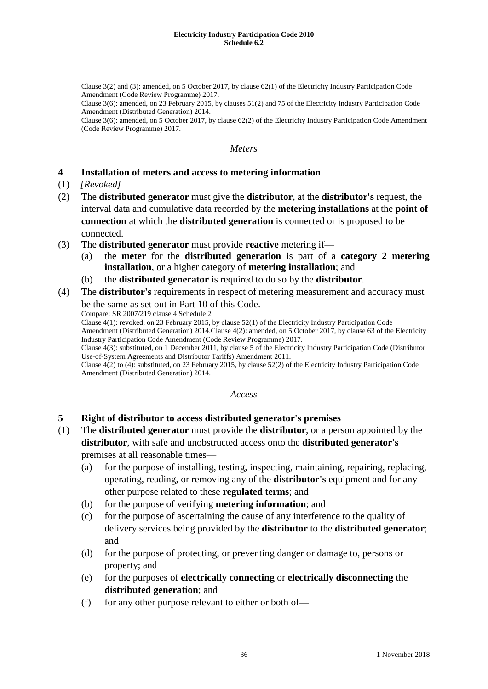Clause 3(2) and (3): amended, on 5 October 2017, by clause 62(1) of the Electricity Industry Participation Code Amendment (Code Review Programme) 2017.

Clause 3(6): amended, on 23 February 2015, by clauses 51(2) and 75 of the Electricity Industry Participation Code Amendment (Distributed Generation) 2014.

Clause 3(6): amended, on 5 October 2017, by clause 62(2) of the Electricity Industry Participation Code Amendment (Code Review Programme) 2017.

#### *Meters*

## **4 Installation of meters and access to metering information**

- (1) *[Revoked]*
- (2) The **distributed generator** must give the **distributor**, at the **distributor's** request, the interval data and cumulative data recorded by the **metering installations** at the **point of connection** at which the **distributed generation** is connected or is proposed to be connected.
- (3) The **distributed generator** must provide **reactive** metering if—
	- (a) the **meter** for the **distributed generation** is part of a **category 2 metering installation**, or a higher category of **metering installation**; and
	- (b) the **distributed generator** is required to do so by the **distributor**.
- (4) The **distributor's** requirements in respect of metering measurement and accuracy must be the same as set out in Part 10 of this Code.

Compare: SR 2007/219 clause 4 Schedule 2

Clause 4(1): revoked, on 23 February 2015, by clause 52(1) of the Electricity Industry Participation Code Amendment (Distributed Generation) 2014.Clause 4(2): amended, on 5 October 2017, by clause 63 of the Electricity Industry Participation Code Amendment (Code Review Programme) 2017.

Clause 4(3): substituted, on 1 December 2011, by clause 5 of the Electricity Industry Participation Code (Distributor Use-of-System Agreements and Distributor Tariffs) Amendment 2011.

Clause 4(2) to (4): substituted, on 23 February 2015, by clause 52(2) of the Electricity Industry Participation Code Amendment (Distributed Generation) 2014.

#### *Access*

# **5 Right of distributor to access distributed generator's premises**

- (1) The **distributed generator** must provide the **distributor**, or a person appointed by the **distributor**, with safe and unobstructed access onto the **distributed generator's** premises at all reasonable times—
	- (a) for the purpose of installing, testing, inspecting, maintaining, repairing, replacing, operating, reading, or removing any of the **distributor's** equipment and for any other purpose related to these **regulated terms**; and
	- (b) for the purpose of verifying **metering information**; and
	- (c) for the purpose of ascertaining the cause of any interference to the quality of delivery services being provided by the **distributor** to the **distributed generator**; and
	- (d) for the purpose of protecting, or preventing danger or damage to, persons or property; and
	- (e) for the purposes of **electrically connecting** or **electrically disconnecting** the **distributed generation**; and
	- (f) for any other purpose relevant to either or both of—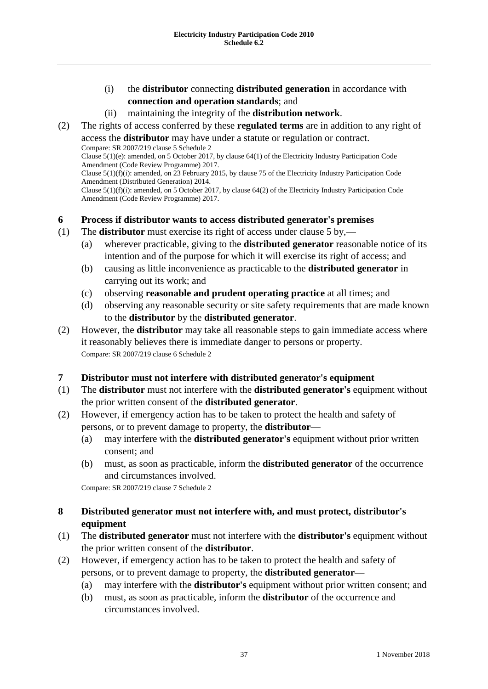- (i) the **distributor** connecting **distributed generation** in accordance with **connection and operation standards**; and
- (ii) maintaining the integrity of the **distribution network**.
- (2) The rights of access conferred by these **regulated terms** are in addition to any right of access the **distributor** may have under a statute or regulation or contract. Compare: SR 2007/219 clause 5 Schedule 2 Clause 5(1)(e): amended, on 5 October 2017, by clause 64(1) of the Electricity Industry Participation Code Amendment (Code Review Programme) 2017. Clause 5(1)(f)(i): amended, on 23 February 2015, by clause 75 of the Electricity Industry Participation Code Amendment (Distributed Generation) 2014. Clause 5(1)(f)(i): amended, on 5 October 2017, by clause 64(2) of the Electricity Industry Participation Code Amendment (Code Review Programme) 2017.

## **6 Process if distributor wants to access distributed generator's premises**

- (1) The **distributor** must exercise its right of access under clause 5 by,—
	- (a) wherever practicable, giving to the **distributed generator** reasonable notice of its intention and of the purpose for which it will exercise its right of access; and
	- (b) causing as little inconvenience as practicable to the **distributed generator** in carrying out its work; and
	- (c) observing **reasonable and prudent operating practice** at all times; and
	- (d) observing any reasonable security or site safety requirements that are made known to the **distributor** by the **distributed generator**.
- (2) However, the **distributor** may take all reasonable steps to gain immediate access where it reasonably believes there is immediate danger to persons or property. Compare: SR 2007/219 clause 6 Schedule 2

# **7 Distributor must not interfere with distributed generator's equipment**

- (1) The **distributor** must not interfere with the **distributed generator's** equipment without the prior written consent of the **distributed generator**.
- (2) However, if emergency action has to be taken to protect the health and safety of persons, or to prevent damage to property, the **distributor**—
	- (a) may interfere with the **distributed generator's** equipment without prior written consent; and
	- (b) must, as soon as practicable, inform the **distributed generator** of the occurrence and circumstances involved.

Compare: SR 2007/219 clause 7 Schedule 2

# **8 Distributed generator must not interfere with, and must protect, distributor's equipment**

- (1) The **distributed generator** must not interfere with the **distributor's** equipment without the prior written consent of the **distributor**.
- (2) However, if emergency action has to be taken to protect the health and safety of persons, or to prevent damage to property, the **distributed generator**—
	- (a) may interfere with the **distributor's** equipment without prior written consent; and
	- (b) must, as soon as practicable, inform the **distributor** of the occurrence and circumstances involved.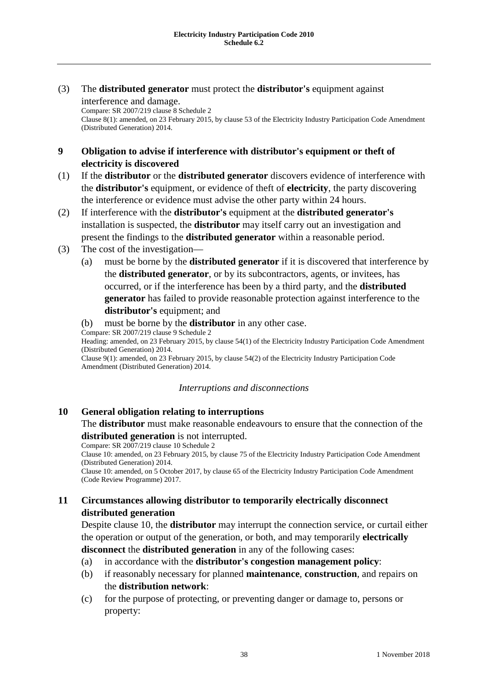(3) The **distributed generator** must protect the **distributor's** equipment against interference and damage.

Compare: SR 2007/219 clause 8 Schedule 2 Clause 8(1): amended, on 23 February 2015, by clause 53 of the Electricity Industry Participation Code Amendment (Distributed Generation) 2014.

- **9 Obligation to advise if interference with distributor's equipment or theft of electricity is discovered**
- (1) If the **distributor** or the **distributed generator** discovers evidence of interference with the **distributor's** equipment, or evidence of theft of **electricity**, the party discovering the interference or evidence must advise the other party within 24 hours.
- (2) If interference with the **distributor's** equipment at the **distributed generator's** installation is suspected, the **distributor** may itself carry out an investigation and present the findings to the **distributed generator** within a reasonable period.
- (3) The cost of the investigation—
	- (a) must be borne by the **distributed generator** if it is discovered that interference by the **distributed generator**, or by its subcontractors, agents, or invitees, has occurred, or if the interference has been by a third party, and the **distributed generator** has failed to provide reasonable protection against interference to the **distributor's** equipment; and
	- (b) must be borne by the **distributor** in any other case.

Compare: SR 2007/219 clause 9 Schedule 2

Heading: amended, on 23 February 2015, by clause 54(1) of the Electricity Industry Participation Code Amendment (Distributed Generation) 2014.

Clause 9(1): amended, on 23 February 2015, by clause 54(2) of the Electricity Industry Participation Code Amendment (Distributed Generation) 2014.

#### *Interruptions and disconnections*

## **10 General obligation relating to interruptions**

# The **distributor** must make reasonable endeavours to ensure that the connection of the **distributed generation** is not interrupted.

Compare: SR 2007/219 clause 10 Schedule 2

Clause 10: amended, on 23 February 2015, by clause 75 of the Electricity Industry Participation Code Amendment (Distributed Generation) 2014.

Clause 10: amended, on 5 October 2017, by clause 65 of the Electricity Industry Participation Code Amendment (Code Review Programme) 2017.

# **11 Circumstances allowing distributor to temporarily electrically disconnect distributed generation**

Despite clause 10, the **distributor** may interrupt the connection service, or curtail either the operation or output of the generation, or both, and may temporarily **electrically disconnect** the **distributed generation** in any of the following cases:

- (a) in accordance with the **distributor's congestion management policy**:
- (b) if reasonably necessary for planned **maintenance**, **construction**, and repairs on the **distribution network**:
- (c) for the purpose of protecting, or preventing danger or damage to, persons or property: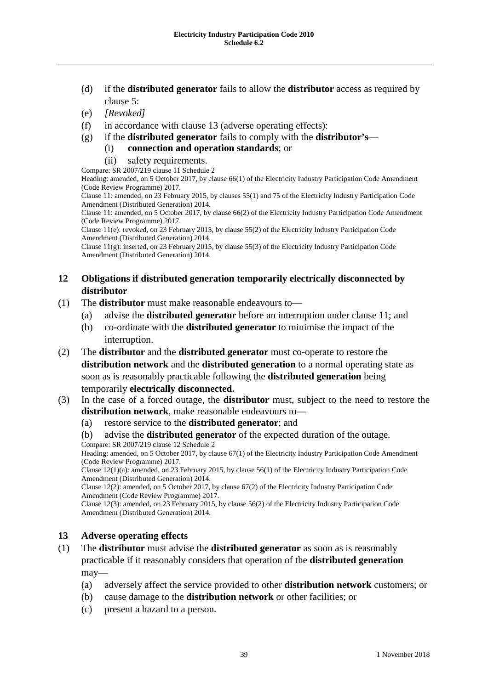- (d) if the **distributed generator** fails to allow the **distributor** access as required by clause 5:
- (e) *[Revoked]*
- (f) in accordance with clause 13 (adverse operating effects):
- (g) if the **distributed generator** fails to comply with the **distributor's**
	- (i) **connection and operation standards**; or
	- (ii) safety requirements.

Compare: SR 2007/219 clause 11 Schedule 2

Heading: amended, on 5 October 2017, by clause 66(1) of the Electricity Industry Participation Code Amendment (Code Review Programme) 2017.

Clause 11: amended, on 23 February 2015, by clauses 55(1) and 75 of the Electricity Industry Participation Code Amendment (Distributed Generation) 2014.

Clause 11: amended, on 5 October 2017, by clause 66(2) of the Electricity Industry Participation Code Amendment (Code Review Programme) 2017.

Clause 11(e): revoked, on 23 February 2015, by clause 55(2) of the Electricity Industry Participation Code Amendment (Distributed Generation) 2014.

Clause 11(g): inserted, on 23 February 2015, by clause 55(3) of the Electricity Industry Participation Code Amendment (Distributed Generation) 2014.

# **12 Obligations if distributed generation temporarily electrically disconnected by distributor**

- (1) The **distributor** must make reasonable endeavours to—
	- (a) advise the **distributed generator** before an interruption under clause 11; and
	- (b) co-ordinate with the **distributed generator** to minimise the impact of the interruption.
- (2) The **distributor** and the **distributed generator** must co-operate to restore the **distribution network** and the **distributed generation** to a normal operating state as soon as is reasonably practicable following the **distributed generation** being temporarily **electrically disconnected.**
- (3) In the case of a forced outage, the **distributor** must, subject to the need to restore the **distribution network**, make reasonable endeavours to—
	- (a) restore service to the **distributed generator**; and
	- (b) advise the **distributed generator** of the expected duration of the outage.
	- Compare: SR 2007/219 clause 12 Schedule 2

Heading: amended, on 5 October 2017, by clause 67(1) of the Electricity Industry Participation Code Amendment (Code Review Programme) 2017.

Clause 12(1)(a): amended, on 23 February 2015, by clause 56(1) of the Electricity Industry Participation Code Amendment (Distributed Generation) 2014.

Clause 12(2): amended, on 5 October 2017, by clause 67(2) of the Electricity Industry Participation Code Amendment (Code Review Programme) 2017.

Clause 12(3): amended, on 23 February 2015, by clause 56(2) of the Electricity Industry Participation Code Amendment (Distributed Generation) 2014.

## **13 Adverse operating effects**

- (1) The **distributor** must advise the **distributed generator** as soon as is reasonably practicable if it reasonably considers that operation of the **distributed generation** may—
	- (a) adversely affect the service provided to other **distribution network** customers; or
	- (b) cause damage to the **distribution network** or other facilities; or
	- (c) present a hazard to a person.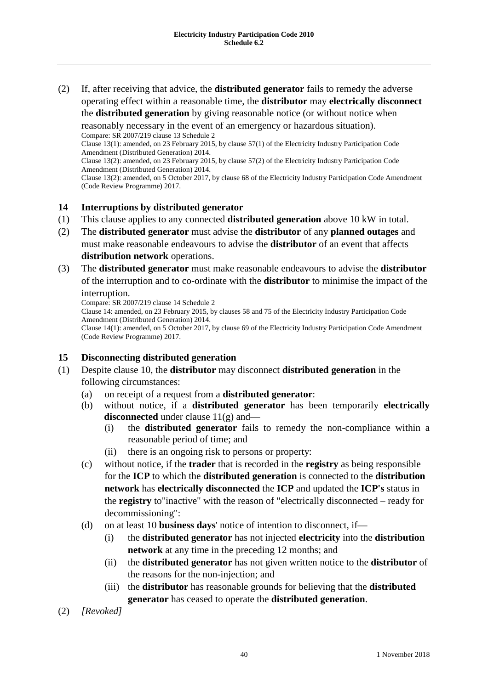(2) If, after receiving that advice, the **distributed generator** fails to remedy the adverse operating effect within a reasonable time, the **distributor** may **electrically disconnect** the **distributed generation** by giving reasonable notice (or without notice when reasonably necessary in the event of an emergency or hazardous situation).

Compare: SR 2007/219 clause 13 Schedule 2 Clause 13(1): amended, on 23 February 2015, by clause 57(1) of the Electricity Industry Participation Code Amendment (Distributed Generation) 2014. Clause 13(2): amended, on 23 February 2015, by clause 57(2) of the Electricity Industry Participation Code Amendment (Distributed Generation) 2014.

Clause 13(2): amended, on 5 October 2017, by clause 68 of the Electricity Industry Participation Code Amendment (Code Review Programme) 2017.

## **14 Interruptions by distributed generator**

- (1) This clause applies to any connected **distributed generation** above 10 kW in total.
- (2) The **distributed generator** must advise the **distributor** of any **planned outages** and must make reasonable endeavours to advise the **distributor** of an event that affects **distribution network** operations.
- (3) The **distributed generator** must make reasonable endeavours to advise the **distributor** of the interruption and to co-ordinate with the **distributor** to minimise the impact of the interruption.

Compare: SR 2007/219 clause 14 Schedule 2

Clause 14: amended, on 23 February 2015, by clauses 58 and 75 of the Electricity Industry Participation Code Amendment (Distributed Generation) 2014.

Clause 14(1): amended, on 5 October 2017, by clause 69 of the Electricity Industry Participation Code Amendment (Code Review Programme) 2017.

# **15 Disconnecting distributed generation**

- (1) Despite clause 10, the **distributor** may disconnect **distributed generation** in the following circumstances:
	- (a) on receipt of a request from a **distributed generator**:
	- (b) without notice, if a **distributed generator** has been temporarily **electrically disconnected** under clause 11(g) and—
		- (i) the **distributed generator** fails to remedy the non-compliance within a reasonable period of time; and
		- (ii) there is an ongoing risk to persons or property:
	- (c) without notice, if the **trader** that is recorded in the **registry** as being responsible for the **ICP** to which the **distributed generation** is connected to the **distribution network** has **electrically disconnected** the **ICP** and updated the **ICP's** status in the **registry** to"inactive" with the reason of "electrically disconnected – ready for decommissioning":
	- (d) on at least 10 **business days**' notice of intention to disconnect, if—
		- (i) the **distributed generator** has not injected **electricity** into the **distribution network** at any time in the preceding 12 months; and
		- (ii) the **distributed generator** has not given written notice to the **distributor** of the reasons for the non-injection; and
		- (iii) the **distributor** has reasonable grounds for believing that the **distributed generator** has ceased to operate the **distributed generation**.
- (2) *[Revoked]*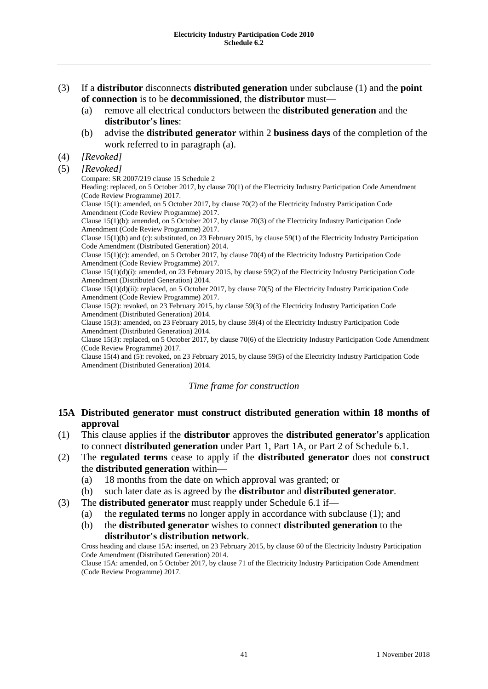## (3) If a **distributor** disconnects **distributed generation** under subclause (1) and the **point of connection** is to be **decommissioned**, the **distributor** must—

- (a) remove all electrical conductors between the **distributed generation** and the **distributor's lines**:
- (b) advise the **distributed generator** within 2 **business days** of the completion of the work referred to in paragraph (a).
- (4) *[Revoked]*
- (5) *[Revoked]*

Compare: SR 2007/219 clause 15 Schedule 2

Heading: replaced, on 5 October 2017, by clause 70(1) of the Electricity Industry Participation Code Amendment (Code Review Programme) 2017.

Clause 15(1): amended, on 5 October 2017, by clause 70(2) of the Electricity Industry Participation Code Amendment (Code Review Programme) 2017.

Clause 15(1)(b): amended, on 5 October 2017, by clause 70(3) of the Electricity Industry Participation Code Amendment (Code Review Programme) 2017.

Clause 15(1)(b) and (c): substituted, on 23 February 2015, by clause 59(1) of the Electricity Industry Participation Code Amendment (Distributed Generation) 2014.

Clause 15(1)(c): amended, on 5 October 2017, by clause 70(4) of the Electricity Industry Participation Code Amendment (Code Review Programme) 2017.

Clause 15(1)(d)(i): amended, on 23 February 2015, by clause 59(2) of the Electricity Industry Participation Code Amendment (Distributed Generation) 2014.

Clause 15(1)(d)(ii): replaced, on 5 October 2017, by clause 70(5) of the Electricity Industry Participation Code Amendment (Code Review Programme) 2017.

Clause 15(2): revoked, on 23 February 2015, by clause 59(3) of the Electricity Industry Participation Code Amendment (Distributed Generation) 2014.

Clause 15(3): amended, on 23 February 2015, by clause 59(4) of the Electricity Industry Participation Code Amendment (Distributed Generation) 2014.

Clause 15(3): replaced, on 5 October 2017, by clause 70(6) of the Electricity Industry Participation Code Amendment (Code Review Programme) 2017.

Clause 15(4) and (5): revoked, on 23 February 2015, by clause 59(5) of the Electricity Industry Participation Code Amendment (Distributed Generation) 2014.

## *Time frame for construction*

## **15A Distributed generator must construct distributed generation within 18 months of approval**

- (1) This clause applies if the **distributor** approves the **distributed generator's** application to connect **distributed generation** under Part 1, Part 1A, or Part 2 of Schedule 6.1.
- (2) The **regulated terms** cease to apply if the **distributed generator** does not **construct** the **distributed generation** within—
	- (a) 18 months from the date on which approval was granted; or
	- (b) such later date as is agreed by the **distributor** and **distributed generator**.
- (3) The **distributed generator** must reapply under Schedule 6.1 if—
	- (a) the **regulated terms** no longer apply in accordance with subclause (1); and
	- (b) the **distributed generator** wishes to connect **distributed generation** to the **distributor's distribution network**.

Cross heading and clause 15A: inserted, on 23 February 2015, by clause 60 of the Electricity Industry Participation Code Amendment (Distributed Generation) 2014.

Clause 15A: amended, on 5 October 2017, by clause 71 of the Electricity Industry Participation Code Amendment (Code Review Programme) 2017.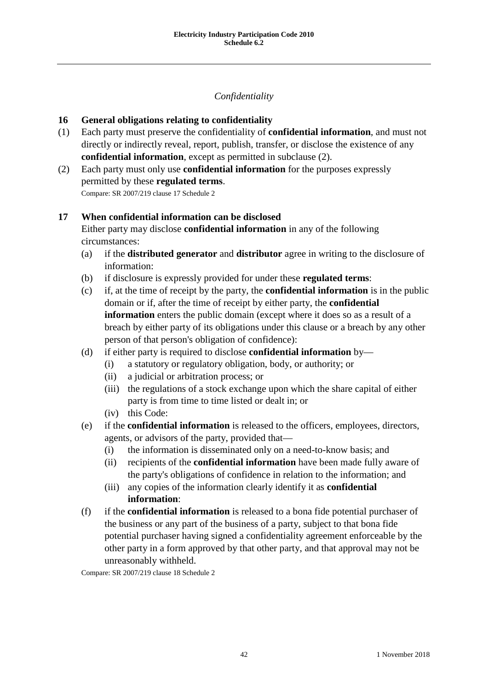# *Confidentiality*

## **16 General obligations relating to confidentiality**

- (1) Each party must preserve the confidentiality of **confidential information**, and must not directly or indirectly reveal, report, publish, transfer, or disclose the existence of any **confidential information**, except as permitted in subclause (2).
- (2) Each party must only use **confidential information** for the purposes expressly permitted by these **regulated terms**. Compare: SR 2007/219 clause 17 Schedule 2

## **17 When confidential information can be disclosed**

Either party may disclose **confidential information** in any of the following circumstances:

- (a) if the **distributed generator** and **distributor** agree in writing to the disclosure of information:
- (b) if disclosure is expressly provided for under these **regulated terms**:
- (c) if, at the time of receipt by the party, the **confidential information** is in the public domain or if, after the time of receipt by either party, the **confidential information** enters the public domain (except where it does so as a result of a breach by either party of its obligations under this clause or a breach by any other person of that person's obligation of confidence):
- (d) if either party is required to disclose **confidential information** by—
	- (i) a statutory or regulatory obligation, body, or authority; or
	- (ii) a judicial or arbitration process; or
	- (iii) the regulations of a stock exchange upon which the share capital of either party is from time to time listed or dealt in; or
	- (iv) this Code:
- (e) if the **confidential information** is released to the officers, employees, directors, agents, or advisors of the party, provided that—
	- (i) the information is disseminated only on a need-to-know basis; and
	- (ii) recipients of the **confidential information** have been made fully aware of the party's obligations of confidence in relation to the information; and
	- (iii) any copies of the information clearly identify it as **confidential information**:
- (f) if the **confidential information** is released to a bona fide potential purchaser of the business or any part of the business of a party, subject to that bona fide potential purchaser having signed a confidentiality agreement enforceable by the other party in a form approved by that other party, and that approval may not be unreasonably withheld.

Compare: SR 2007/219 clause 18 Schedule 2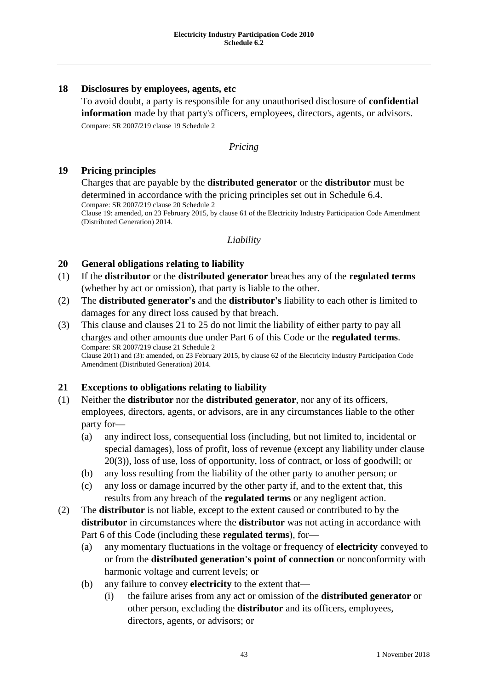#### **18 Disclosures by employees, agents, etc**

To avoid doubt, a party is responsible for any unauthorised disclosure of **confidential information** made by that party's officers, employees, directors, agents, or advisors. Compare: SR 2007/219 clause 19 Schedule 2

*Pricing*

#### **19 Pricing principles**

Charges that are payable by the **distributed generator** or the **distributor** must be determined in accordance with the pricing principles set out in Schedule 6.4. Compare: SR 2007/219 clause 20 Schedule 2

Clause 19: amended, on 23 February 2015, by clause 61 of the Electricity Industry Participation Code Amendment (Distributed Generation) 2014.

#### *Liability*

#### **20 General obligations relating to liability**

- (1) If the **distributor** or the **distributed generator** breaches any of the **regulated terms**  (whether by act or omission), that party is liable to the other.
- (2) The **distributed generator's** and the **distributor's** liability to each other is limited to damages for any direct loss caused by that breach.
- (3) This clause and clauses 21 to 25 do not limit the liability of either party to pay all charges and other amounts due under Part 6 of this Code or the **regulated terms**. Compare: SR 2007/219 clause 21 Schedule 2

Clause 20(1) and (3): amended, on 23 February 2015, by clause 62 of the Electricity Industry Participation Code Amendment (Distributed Generation) 2014.

## **21 Exceptions to obligations relating to liability**

- (1) Neither the **distributor** nor the **distributed generator**, nor any of its officers, employees, directors, agents, or advisors, are in any circumstances liable to the other party for—
	- (a) any indirect loss, consequential loss (including, but not limited to, incidental or special damages), loss of profit, loss of revenue (except any liability under clause 20(3)), loss of use, loss of opportunity, loss of contract, or loss of goodwill; or
	- (b) any loss resulting from the liability of the other party to another person; or
	- (c) any loss or damage incurred by the other party if, and to the extent that, this results from any breach of the **regulated terms** or any negligent action.
- (2) The **distributor** is not liable, except to the extent caused or contributed to by the **distributor** in circumstances where the **distributor** was not acting in accordance with Part 6 of this Code (including these **regulated terms**), for—
	- (a) any momentary fluctuations in the voltage or frequency of **electricity** conveyed to or from the **distributed generation's point of connection** or nonconformity with harmonic voltage and current levels; or
	- (b) any failure to convey **electricity** to the extent that—
		- (i) the failure arises from any act or omission of the **distributed generator** or other person, excluding the **distributor** and its officers, employees, directors, agents, or advisors; or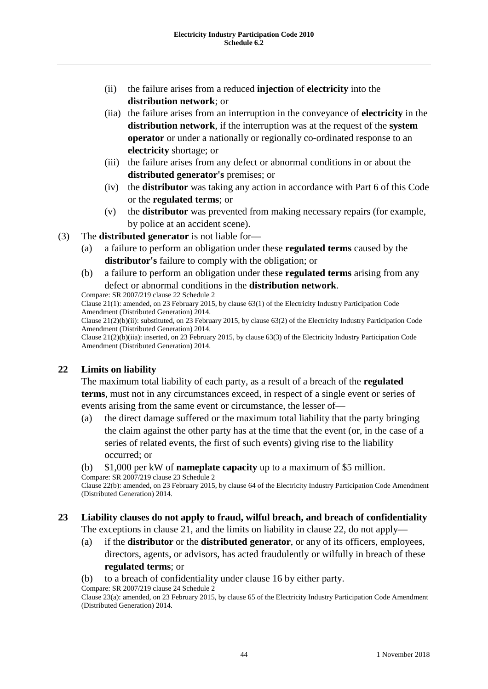- (ii) the failure arises from a reduced **injection** of **electricity** into the **distribution network**; or
- (iia) the failure arises from an interruption in the conveyance of **electricity** in the **distribution network**, if the interruption was at the request of the **system operator** or under a nationally or regionally co-ordinated response to an **electricity** shortage; or
- (iii) the failure arises from any defect or abnormal conditions in or about the **distributed generator's** premises; or
- (iv) the **distributor** was taking any action in accordance with Part 6 of this Code or the **regulated terms**; or
- (v) the **distributor** was prevented from making necessary repairs (for example, by police at an accident scene).

# (3) The **distributed generator** is not liable for—

- (a) a failure to perform an obligation under these **regulated terms** caused by the **distributor's** failure to comply with the obligation; or
- (b) a failure to perform an obligation under these **regulated terms** arising from any defect or abnormal conditions in the **distribution network**.
- Compare: SR 2007/219 clause 22 Schedule 2

Clause 21(1): amended, on 23 February 2015, by clause 63(1) of the Electricity Industry Participation Code Amendment (Distributed Generation) 2014.

Clause 21(2)(b)(ii): substituted, on 23 February 2015, by clause 63(2) of the Electricity Industry Participation Code Amendment (Distributed Generation) 2014.

Clause 21(2)(b)(iia): inserted, on 23 February 2015, by clause 63(3) of the Electricity Industry Participation Code Amendment (Distributed Generation) 2014.

# **22 Limits on liability**

The maximum total liability of each party, as a result of a breach of the **regulated terms**, must not in any circumstances exceed, in respect of a single event or series of events arising from the same event or circumstance, the lesser of—

- (a) the direct damage suffered or the maximum total liability that the party bringing the claim against the other party has at the time that the event (or, in the case of a series of related events, the first of such events) giving rise to the liability occurred; or
- (b) \$1,000 per kW of **nameplate capacity** up to a maximum of \$5 million.

Compare: SR 2007/219 clause 23 Schedule 2

Clause 22(b): amended, on 23 February 2015, by clause 64 of the Electricity Industry Participation Code Amendment (Distributed Generation) 2014.

# **23 Liability clauses do not apply to fraud, wilful breach, and breach of confidentiality** The exceptions in clause 21, and the limits on liability in clause 22, do not apply—

- (a) if the **distributor** or the **distributed generator**, or any of its officers, employees, directors, agents, or advisors, has acted fraudulently or wilfully in breach of these **regulated terms**; or
- (b) to a breach of confidentiality under clause 16 by either party.

Compare: SR 2007/219 clause 24 Schedule 2

Clause 23(a): amended, on 23 February 2015, by clause 65 of the Electricity Industry Participation Code Amendment (Distributed Generation) 2014.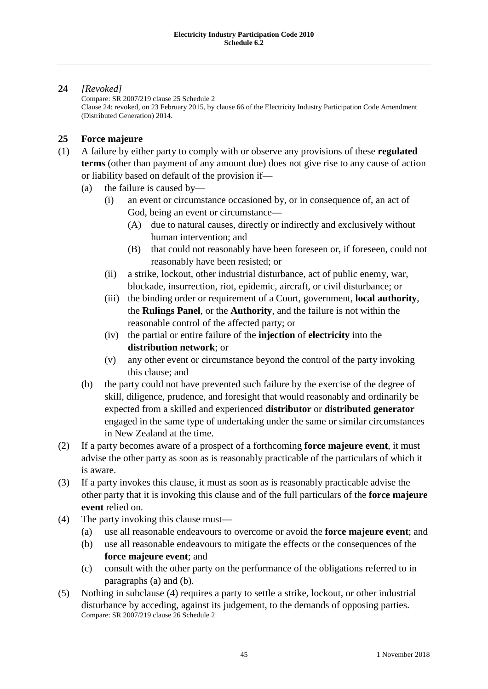## **24** *[Revoked]*

Compare: SR 2007/219 clause 25 Schedule 2 Clause 24: revoked, on 23 February 2015, by clause 66 of the Electricity Industry Participation Code Amendment (Distributed Generation) 2014.

# **25 Force majeure**

- (1) A failure by either party to comply with or observe any provisions of these **regulated terms** (other than payment of any amount due) does not give rise to any cause of action or liability based on default of the provision if—
	- (a) the failure is caused by—
		- (i) an event or circumstance occasioned by, or in consequence of, an act of God, being an event or circumstance—
			- (A) due to natural causes, directly or indirectly and exclusively without human intervention; and
			- (B) that could not reasonably have been foreseen or, if foreseen, could not reasonably have been resisted; or
		- (ii) a strike, lockout, other industrial disturbance, act of public enemy, war, blockade, insurrection, riot, epidemic, aircraft, or civil disturbance; or
		- (iii) the binding order or requirement of a Court, government, **local authority**, the **Rulings Panel**, or the **Authority**, and the failure is not within the reasonable control of the affected party; or
		- (iv) the partial or entire failure of the **injection** of **electricity** into the **distribution network**; or
		- (v) any other event or circumstance beyond the control of the party invoking this clause; and
	- (b) the party could not have prevented such failure by the exercise of the degree of skill, diligence, prudence, and foresight that would reasonably and ordinarily be expected from a skilled and experienced **distributor** or **distributed generator** engaged in the same type of undertaking under the same or similar circumstances in New Zealand at the time.
- (2) If a party becomes aware of a prospect of a forthcoming **force majeure event**, it must advise the other party as soon as is reasonably practicable of the particulars of which it is aware.
- (3) If a party invokes this clause, it must as soon as is reasonably practicable advise the other party that it is invoking this clause and of the full particulars of the **force majeure event** relied on.
- (4) The party invoking this clause must—
	- (a) use all reasonable endeavours to overcome or avoid the **force majeure event**; and
	- (b) use all reasonable endeavours to mitigate the effects or the consequences of the **force majeure event**; and
	- (c) consult with the other party on the performance of the obligations referred to in paragraphs (a) and (b).
- (5) Nothing in subclause (4) requires a party to settle a strike, lockout, or other industrial disturbance by acceding, against its judgement, to the demands of opposing parties. Compare: SR 2007/219 clause 26 Schedule 2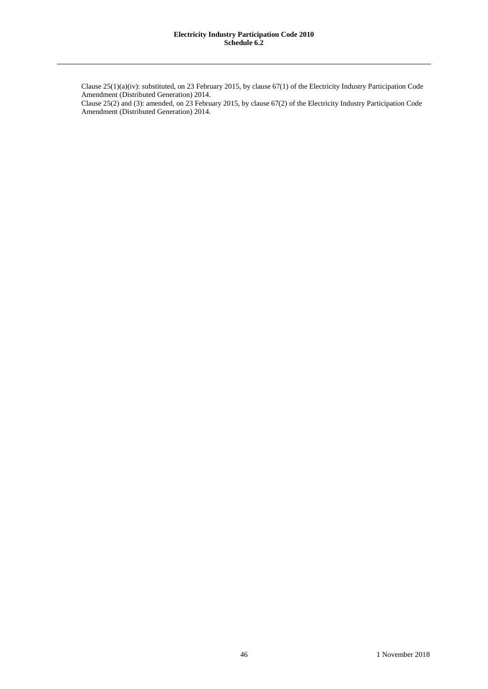Clause 25(1)(a)(iv): substituted, on 23 February 2015, by clause 67(1) of the Electricity Industry Participation Code Amendment (Distributed Generation) 2014.

Clause 25(2) and (3): amended, on 23 February 2015, by clause 67(2) of the Electricity Industry Participation Code Amendment (Distributed Generation) 2014.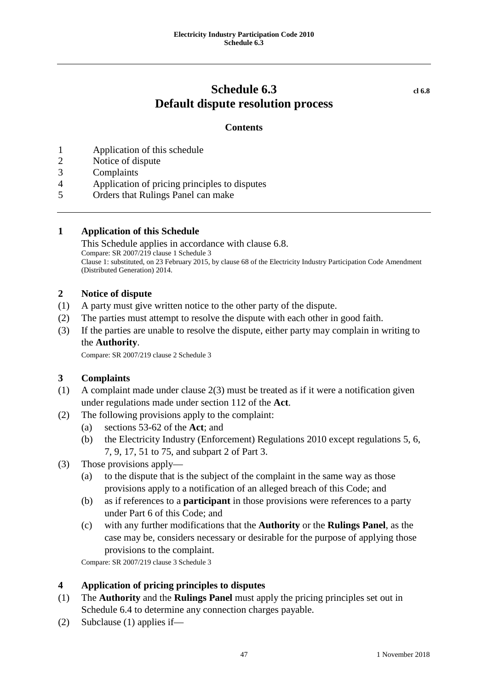# **Schedule 6.3 cl 6.8 Default dispute resolution process**

# **Contents**

- 1 Application of this schedule
- 2 Notice of dispute
- 3 Complaints
- 4 Application of pricing principles to disputes
- 5 Orders that Rulings Panel can make

## **1 Application of this Schedule**

This Schedule applies in accordance with clause 6.8. Compare: SR 2007/219 clause 1 Schedule 3 Clause 1: substituted, on 23 February 2015, by clause 68 of the Electricity Industry Participation Code Amendment (Distributed Generation) 2014.

## **2 Notice of dispute**

- (1) A party must give written notice to the other party of the dispute.
- (2) The parties must attempt to resolve the dispute with each other in good faith.
- (3) If the parties are unable to resolve the dispute, either party may complain in writing to the **Authority**.

Compare: SR 2007/219 clause 2 Schedule 3

# **3 Complaints**

- (1) A complaint made under clause 2(3) must be treated as if it were a notification given under regulations made under section 112 of the **Act**.
- (2) The following provisions apply to the complaint:
	- (a) sections 53-62 of the **Act**; and
	- (b) the Electricity Industry (Enforcement) Regulations 2010 except regulations 5, 6, 7, 9, 17, 51 to 75, and subpart 2 of Part 3.
- (3) Those provisions apply—
	- (a) to the dispute that is the subject of the complaint in the same way as those provisions apply to a notification of an alleged breach of this Code; and
	- (b) as if references to a **participant** in those provisions were references to a party under Part 6 of this Code; and
	- (c) with any further modifications that the **Authority** or the **Rulings Panel**, as the case may be, considers necessary or desirable for the purpose of applying those provisions to the complaint.

Compare: SR 2007/219 clause 3 Schedule 3

# **4 Application of pricing principles to disputes**

- (1) The **Authority** and the **Rulings Panel** must apply the pricing principles set out in Schedule 6.4 to determine any connection charges payable.
- (2) Subclause (1) applies if—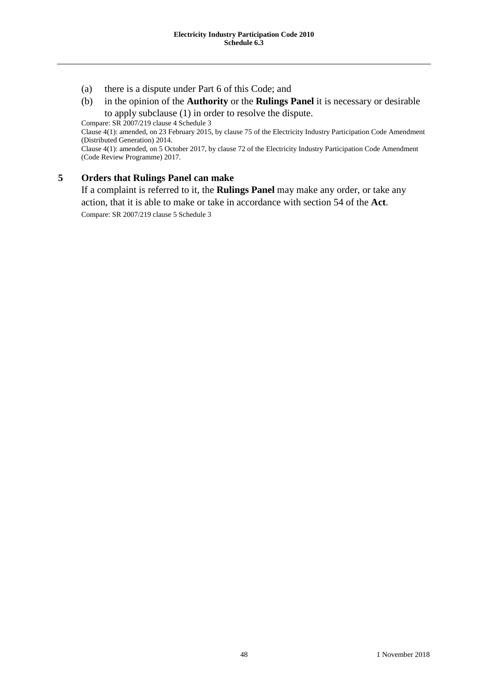- (a) there is a dispute under Part 6 of this Code; and
- (b) in the opinion of the **Authority** or the **Rulings Panel** it is necessary or desirable to apply subclause (1) in order to resolve the dispute.

Compare: SR 2007/219 clause 4 Schedule 3

Clause 4(1): amended, on 23 February 2015, by clause 75 of the Electricity Industry Participation Code Amendment (Distributed Generation) 2014.

Clause 4(1): amended, on 5 October 2017, by clause 72 of the Electricity Industry Participation Code Amendment (Code Review Programme) 2017.

## **5 Orders that Rulings Panel can make**

If a complaint is referred to it, the **Rulings Panel** may make any order, or take any action, that it is able to make or take in accordance with section 54 of the **Act**. Compare: SR 2007/219 clause 5 Schedule 3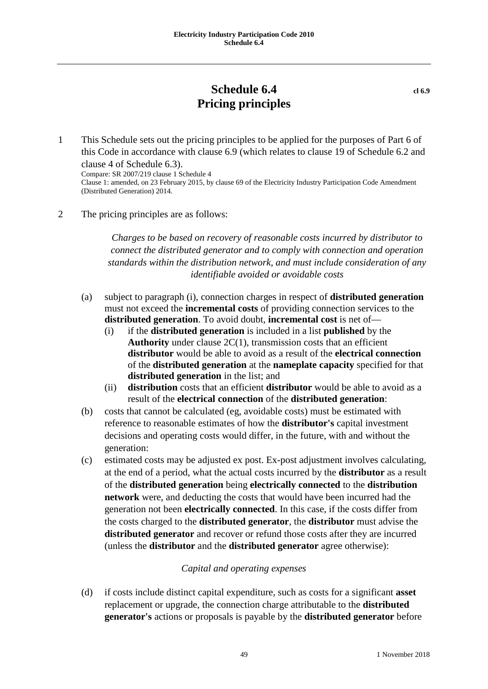# **Schedule 6.4 cl 6.9 cl 6.9 Pricing principles**

- 1 This Schedule sets out the pricing principles to be applied for the purposes of Part 6 of this Code in accordance with clause 6.9 (which relates to clause 19 of Schedule 6.2 and clause 4 of Schedule 6.3). Compare: SR 2007/219 clause 1 Schedule 4 Clause 1: amended, on 23 February 2015, by clause 69 of the Electricity Industry Participation Code Amendment (Distributed Generation) 2014.
- 2 The pricing principles are as follows:

*Charges to be based on recovery of reasonable costs incurred by distributor to connect the distributed generator and to comply with connection and operation standards within the distribution network, and must include consideration of any identifiable avoided or avoidable costs*

- (a) subject to paragraph (i), connection charges in respect of **distributed generation** must not exceed the **incremental costs** of providing connection services to the **distributed generation**. To avoid doubt, **incremental cost** is net of—
	- (i) if the **distributed generation** is included in a list **published** by the **Authority** under clause 2C(1), transmission costs that an efficient **distributor** would be able to avoid as a result of the **electrical connection** of the **distributed generation** at the **nameplate capacity** specified for that **distributed generation** in the list; and
	- (ii) **distribution** costs that an efficient **distributor** would be able to avoid as a result of the **electrical connection** of the **distributed generation**:
- (b) costs that cannot be calculated (eg, avoidable costs) must be estimated with reference to reasonable estimates of how the **distributor's** capital investment decisions and operating costs would differ, in the future, with and without the generation:
- (c) estimated costs may be adjusted ex post. Ex-post adjustment involves calculating, at the end of a period, what the actual costs incurred by the **distributor** as a result of the **distributed generation** being **electrically connected** to the **distribution network** were, and deducting the costs that would have been incurred had the generation not been **electrically connected**. In this case, if the costs differ from the costs charged to the **distributed generator**, the **distributor** must advise the **distributed generator** and recover or refund those costs after they are incurred (unless the **distributor** and the **distributed generator** agree otherwise):

## *Capital and operating expenses*

(d) if costs include distinct capital expenditure, such as costs for a significant **asset** replacement or upgrade, the connection charge attributable to the **distributed generator's** actions or proposals is payable by the **distributed generator** before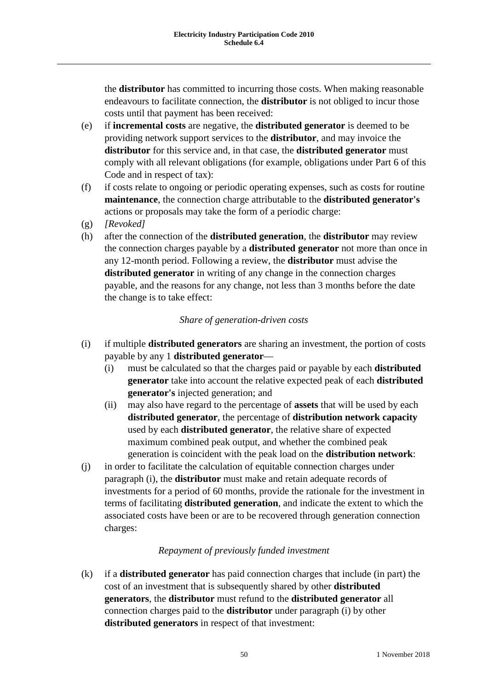the **distributor** has committed to incurring those costs. When making reasonable endeavours to facilitate connection, the **distributor** is not obliged to incur those costs until that payment has been received:

- (e) if **incremental costs** are negative, the **distributed generator** is deemed to be providing network support services to the **distributor**, and may invoice the **distributor** for this service and, in that case, the **distributed generator** must comply with all relevant obligations (for example, obligations under Part 6 of this Code and in respect of tax):
- (f) if costs relate to ongoing or periodic operating expenses, such as costs for routine **maintenance**, the connection charge attributable to the **distributed generator's**  actions or proposals may take the form of a periodic charge:
- (g) *[Revoked]*
- (h) after the connection of the **distributed generation**, the **distributor** may review the connection charges payable by a **distributed generator** not more than once in any 12-month period. Following a review, the **distributor** must advise the **distributed generator** in writing of any change in the connection charges payable, and the reasons for any change, not less than 3 months before the date the change is to take effect:

## *Share of generation-driven costs*

- (i) if multiple **distributed generators** are sharing an investment, the portion of costs payable by any 1 **distributed generator**—
	- (i) must be calculated so that the charges paid or payable by each **distributed generator** take into account the relative expected peak of each **distributed generator's** injected generation; and
	- (ii) may also have regard to the percentage of **assets** that will be used by each **distributed generator**, the percentage of **distribution network capacity** used by each **distributed generator**, the relative share of expected maximum combined peak output, and whether the combined peak generation is coincident with the peak load on the **distribution network**:
- (j) in order to facilitate the calculation of equitable connection charges under paragraph (i), the **distributor** must make and retain adequate records of investments for a period of 60 months, provide the rationale for the investment in terms of facilitating **distributed generation**, and indicate the extent to which the associated costs have been or are to be recovered through generation connection charges:

# *Repayment of previously funded investment*

(k) if a **distributed generator** has paid connection charges that include (in part) the cost of an investment that is subsequently shared by other **distributed generators**, the **distributor** must refund to the **distributed generator** all connection charges paid to the **distributor** under paragraph (i) by other **distributed generators** in respect of that investment: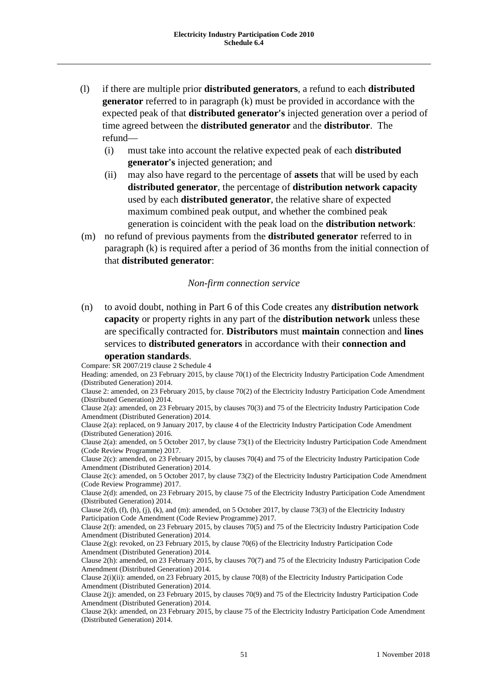- (l) if there are multiple prior **distributed generators**, a refund to each **distributed generator** referred to in paragraph (k) must be provided in accordance with the expected peak of that **distributed generator's** injected generation over a period of time agreed between the **distributed generator** and the **distributor**. The refund—
	- (i) must take into account the relative expected peak of each **distributed generator's** injected generation; and
	- (ii) may also have regard to the percentage of **assets** that will be used by each **distributed generator**, the percentage of **distribution network capacity** used by each **distributed generator**, the relative share of expected maximum combined peak output, and whether the combined peak generation is coincident with the peak load on the **distribution network**:
- (m) no refund of previous payments from the **distributed generator** referred to in paragraph (k) is required after a period of 36 months from the initial connection of that **distributed generator**:

#### *Non-firm connection service*

(n) to avoid doubt, nothing in Part 6 of this Code creates any **distribution network capacity** or property rights in any part of the **distribution network** unless these are specifically contracted for. **Distributors** must **maintain** connection and **lines** services to **distributed generators** in accordance with their **connection and** 

## **operation standards**.

Compare: SR 2007/219 clause 2 Schedule 4

Heading: amended, on 23 February 2015, by clause 70(1) of the Electricity Industry Participation Code Amendment (Distributed Generation) 2014.

Clause 2: amended, on 23 February 2015, by clause 70(2) of the Electricity Industry Participation Code Amendment (Distributed Generation) 2014.

Clause 2(a): amended, on 23 February 2015, by clauses 70(3) and 75 of the Electricity Industry Participation Code Amendment (Distributed Generation) 2014.

Clause 2(a): replaced, on 9 January 2017, by clause 4 of the Electricity Industry Participation Code Amendment (Distributed Generation) 2016.

Clause 2(a): amended, on 5 October 2017, by clause 73(1) of the Electricity Industry Participation Code Amendment (Code Review Programme) 2017.

Clause 2(c): amended, on 23 February 2015, by clauses 70(4) and 75 of the Electricity Industry Participation Code Amendment (Distributed Generation) 2014.

Clause 2(c): amended, on 5 October 2017, by clause 73(2) of the Electricity Industry Participation Code Amendment (Code Review Programme) 2017.

Clause 2(d): amended, on 23 February 2015, by clause 75 of the Electricity Industry Participation Code Amendment (Distributed Generation) 2014.

Clause  $2(d)$ , (f), (h), (i), (k), and (m): amended, on 5 October 2017, by clause 73(3) of the Electricity Industry Participation Code Amendment (Code Review Programme) 2017.

Clause 2(f): amended, on 23 February 2015, by clauses 70(5) and 75 of the Electricity Industry Participation Code Amendment (Distributed Generation) 2014.

Clause 2(g): revoked, on 23 February 2015, by clause 70(6) of the Electricity Industry Participation Code Amendment (Distributed Generation) 2014.

Clause 2(h): amended, on 23 February 2015, by clauses 70(7) and 75 of the Electricity Industry Participation Code Amendment (Distributed Generation) 2014.

Clause 2(i)(ii): amended, on 23 February 2015, by clause 70(8) of the Electricity Industry Participation Code Amendment (Distributed Generation) 2014.

Clause 2(j): amended, on 23 February 2015, by clauses 70(9) and 75 of the Electricity Industry Participation Code Amendment (Distributed Generation) 2014.

Clause 2(k): amended, on 23 February 2015, by clause 75 of the Electricity Industry Participation Code Amendment (Distributed Generation) 2014.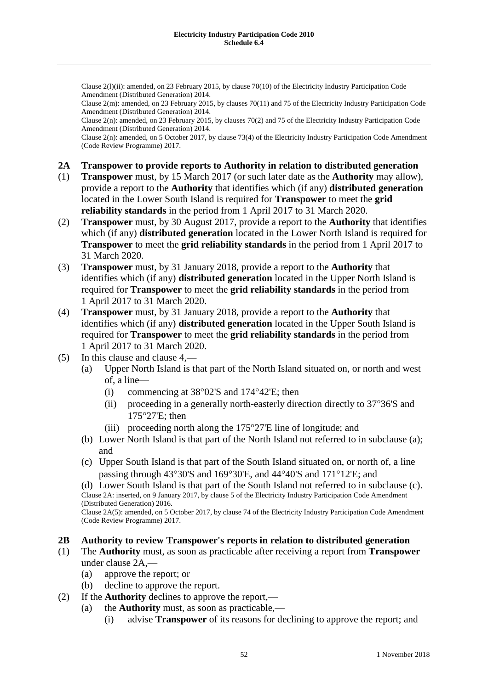Clause 2(l)(ii): amended, on 23 February 2015, by clause 70(10) of the Electricity Industry Participation Code Amendment (Distributed Generation) 2014.

Clause 2(m): amended, on 23 February 2015, by clauses 70(11) and 75 of the Electricity Industry Participation Code Amendment (Distributed Generation) 2014.

Clause 2(n): amended, on 23 February 2015, by clauses 70(2) and 75 of the Electricity Industry Participation Code Amendment (Distributed Generation) 2014.

Clause 2(n): amended, on 5 October 2017, by clause 73(4) of the Electricity Industry Participation Code Amendment (Code Review Programme) 2017.

## **2A Transpower to provide reports to Authority in relation to distributed generation**

- (1) **Transpower** must, by 15 March 2017 (or such later date as the **Authority** may allow), provide a report to the **Authority** that identifies which (if any) **distributed generation** located in the Lower South Island is required for **Transpower** to meet the **grid reliability standards** in the period from 1 April 2017 to 31 March 2020.
- (2) **Transpower** must, by 30 August 2017, provide a report to the **Authority** that identifies which (if any) **distributed generation** located in the Lower North Island is required for **Transpower** to meet the **grid reliability standards** in the period from 1 April 2017 to 31 March 2020.
- (3) **Transpower** must, by 31 January 2018, provide a report to the **Authority** that identifies which (if any) **distributed generation** located in the Upper North Island is required for **Transpower** to meet the **grid reliability standards** in the period from 1 April 2017 to 31 March 2020.
- (4) **Transpower** must, by 31 January 2018, provide a report to the **Authority** that identifies which (if any) **distributed generation** located in the Upper South Island is required for **Transpower** to meet the **grid reliability standards** in the period from 1 April 2017 to 31 March 2020.
- (5) In this clause and clause 4,—
	- (a) Upper North Island is that part of the North Island situated on, or north and west of, a line—
		- (i) commencing at 38°02'S and 174°42'E; then
		- (ii) proceeding in a generally north-easterly direction directly to 37°36'S and 175°27'E; then
		- (iii) proceeding north along the 175°27'E line of longitude; and
	- (b) Lower North Island is that part of the North Island not referred to in subclause (a); and
	- (c) Upper South Island is that part of the South Island situated on, or north of, a line passing through 43°30'S and 169°30'E, and 44°40'S and 171°12'E; and

(d) Lower South Island is that part of the South Island not referred to in subclause (c). Clause 2A: inserted, on 9 January 2017, by clause 5 of the Electricity Industry Participation Code Amendment (Distributed Generation) 2016.

Clause 2A(5): amended, on 5 October 2017, by clause 74 of the Electricity Industry Participation Code Amendment (Code Review Programme) 2017.

## **2B Authority to review Transpower's reports in relation to distributed generation**

- (1) The **Authority** must, as soon as practicable after receiving a report from **Transpower** under clause 2A,—
	- (a) approve the report; or
	- (b) decline to approve the report.
- (2) If the **Authority** declines to approve the report,—
	- (a) the **Authority** must, as soon as practicable,—
		- (i) advise **Transpower** of its reasons for declining to approve the report; and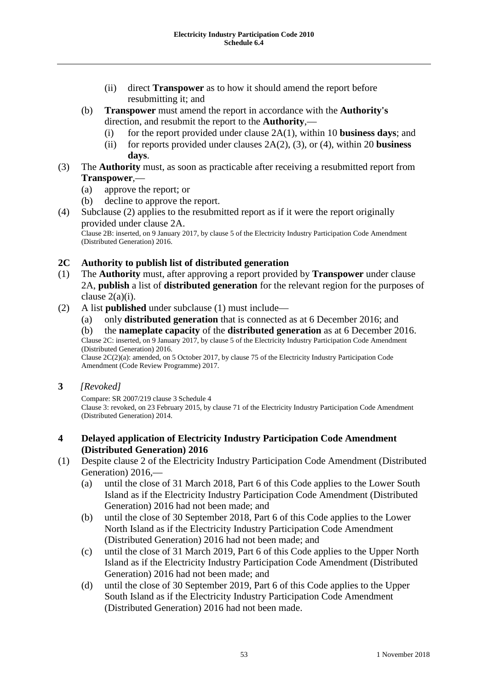- (ii) direct **Transpower** as to how it should amend the report before resubmitting it; and
- (b) **Transpower** must amend the report in accordance with the **Authority's** direction, and resubmit the report to the **Authority**,—
	- (i) for the report provided under clause  $2A(1)$ , within 10 **business days**; and
	- (ii) for reports provided under clauses 2A(2), (3), or (4), within 20 **business days**.
- (3) The **Authority** must, as soon as practicable after receiving a resubmitted report from **Transpower**,—
	- (a) approve the report; or
	- (b) decline to approve the report.
- (4) Subclause (2) applies to the resubmitted report as if it were the report originally provided under clause 2A.

Clause 2B: inserted, on 9 January 2017, by clause 5 of the Electricity Industry Participation Code Amendment (Distributed Generation) 2016.

# **2C Authority to publish list of distributed generation**

- (1) The **Authority** must, after approving a report provided by **Transpower** under clause 2A, **publish** a list of **distributed generation** for the relevant region for the purposes of clause 2(a)(i).
- (2) A list **published** under subclause (1) must include—
	- (a) only **distributed generation** that is connected as at 6 December 2016; and

(b) the **nameplate capacity** of the **distributed generation** as at 6 December 2016. Clause 2C: inserted, on 9 January 2017, by clause 5 of the Electricity Industry Participation Code Amendment (Distributed Generation) 2016.

Clause 2C(2)(a): amended, on 5 October 2017, by clause 75 of the Electricity Industry Participation Code Amendment (Code Review Programme) 2017.

**3** *[Revoked]*

Compare: SR 2007/219 clause 3 Schedule 4 Clause 3: revoked, on 23 February 2015, by clause 71 of the Electricity Industry Participation Code Amendment (Distributed Generation) 2014.

## **4 Delayed application of Electricity Industry Participation Code Amendment (Distributed Generation) 2016**

- (1) Despite clause 2 of the Electricity Industry Participation Code Amendment (Distributed Generation) 2016,—
	- (a) until the close of 31 March 2018, Part 6 of this Code applies to the Lower South Island as if the Electricity Industry Participation Code Amendment (Distributed Generation) 2016 had not been made; and
	- (b) until the close of 30 September 2018, Part 6 of this Code applies to the Lower North Island as if the Electricity Industry Participation Code Amendment (Distributed Generation) 2016 had not been made; and
	- (c) until the close of 31 March 2019, Part 6 of this Code applies to the Upper North Island as if the Electricity Industry Participation Code Amendment (Distributed Generation) 2016 had not been made; and
	- (d) until the close of 30 September 2019, Part 6 of this Code applies to the Upper South Island as if the Electricity Industry Participation Code Amendment (Distributed Generation) 2016 had not been made.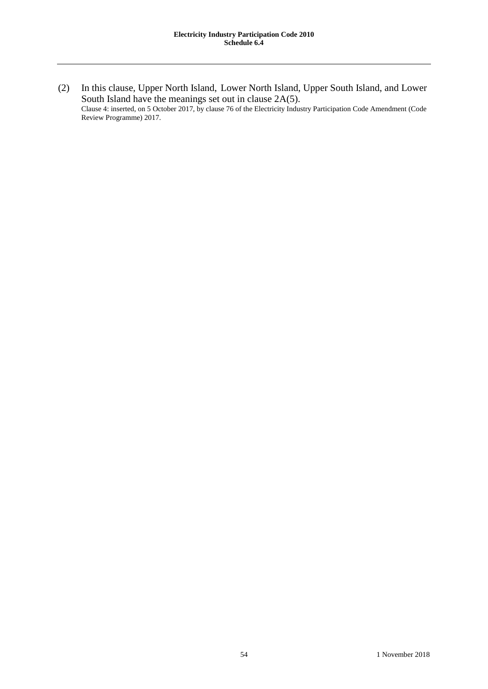(2) In this clause, Upper North Island, Lower North Island, Upper South Island, and Lower South Island have the meanings set out in clause 2A(5). Clause 4: inserted, on 5 October 2017, by clause 76 of the Electricity Industry Participation Code Amendment (Code Review Programme) 2017.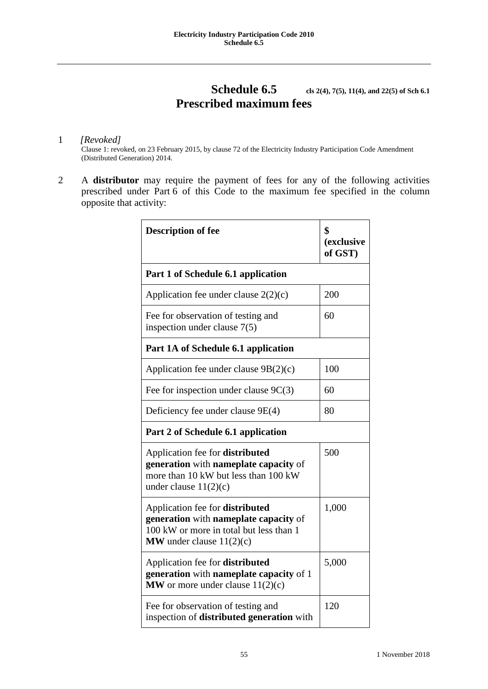# **Schedule 6.5 cls 2**(4), **7(5)**, **11(4)**, and **22(5)** of Sch 6.1 **Prescribed maximum fees**

#### 1 *[Revoked]*

Clause 1: revoked, on 23 February 2015, by clause 72 of the Electricity Industry Participation Code Amendment (Distributed Generation) 2014.

2 A **distributor** may require the payment of fees for any of the following activities prescribed under Part 6 of this Code to the maximum fee specified in the column opposite that activity:

| <b>Description of fee</b>                                                                                                                                | \$<br>(exclusive<br>of GST) |  |
|----------------------------------------------------------------------------------------------------------------------------------------------------------|-----------------------------|--|
| Part 1 of Schedule 6.1 application                                                                                                                       |                             |  |
| Application fee under clause $2(2)(c)$                                                                                                                   | 200                         |  |
| Fee for observation of testing and<br>inspection under clause $7(5)$                                                                                     | 60                          |  |
| Part 1A of Schedule 6.1 application                                                                                                                      |                             |  |
| Application fee under clause $9B(2)(c)$                                                                                                                  | 100                         |  |
| Fee for inspection under clause $9C(3)$                                                                                                                  | 60                          |  |
| Deficiency fee under clause 9E(4)                                                                                                                        | 80                          |  |
| Part 2 of Schedule 6.1 application                                                                                                                       |                             |  |
| Application fee for distributed<br>generation with nameplate capacity of<br>more than 10 kW but less than 100 kW<br>under clause $11(2)(c)$              | 500                         |  |
| Application fee for <b>distributed</b><br>generation with nameplate capacity of<br>100 kW or more in total but less than 1<br>MW under clause $11(2)(c)$ | 1,000                       |  |
| Application fee for distributed<br>generation with nameplate capacity of 1<br>MW or more under clause $11(2)(c)$                                         | 5,000                       |  |
| Fee for observation of testing and<br>inspection of distributed generation with                                                                          | 120                         |  |